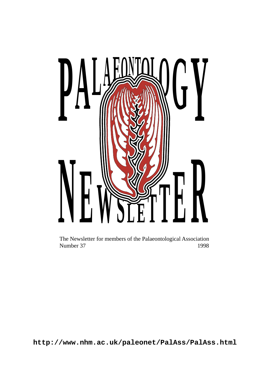

The Newsletter for members of the Palaeontological Association<br>Number 37 1998 Number 37

**http://www.nhm.ac.uk/paleonet/PalAss/PalAss.html**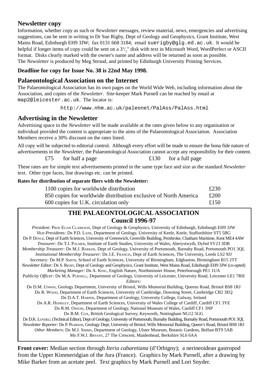#### **Newsletter copy**

Information, whether copy as such or *Newsletter* messages, review material, news, emergencies and advertising suggestions, can be sent in writing to Dr Sue Rigby, Dept of Geology and Geophysics, Grant Institute, West Mains Road, Edinburgh EH9 3JW; fax 0131 668 3184; email suerigby@glg.ed.ac.uk. It would be helpful if longer items of copy could be sent on a  $3^{1/2}$ " disk with text in Microsoft Word, WordPerfect or ASCII format. Disks clearly marked with the owner's name and address will be returned as soon as possible. The *Newsletter* is produced by Meg Stroud, and printed by Edinburgh University Printing Services.

**Deadline for copy for Issue No. 38 is 22nd May 1998.**

#### **Palaeontological Association on the Internet**

The Palaeontological Association has its own pages on the World Wide Web, including information about the Association, and copies of the *Newsletter*. Site-keeper Mark Purnell can be reached by email at map2@leicester.ac.uk. The locator is:

http://www.nhm.ac.uk/paleonet/PalAss/PalAss.html

#### **Advertising in the Newsletter**

Advertising space in the *Newsletter* will be made available at the rates given below to any organisation or individual provided the content is appropriate to the aims of the Palaeontological Association. Association Members receive a 30% discount on the rates listed.

All copy will be subjected to editorial control. Although every effort will be made to ensure the bona fide nature of advertisements in the *Newsletter*, the Palaeontological Association cannot accept any responsibility for their content. £75 for half a page  $£130$  for a full page

These rates are for simple text advertisements printed in the same type face and size as the standard *Newsletter* text. Other type faces, line drawings etc. can be printed.

|  | Rates for distribution of separate fliers with the Newsletter: |  |  |  |  |  |  |  |
|--|----------------------------------------------------------------|--|--|--|--|--|--|--|
|--|----------------------------------------------------------------|--|--|--|--|--|--|--|

| 1100 copies for worldwide distribution                           | £230 |
|------------------------------------------------------------------|------|
| 850 copies for worldwide distribution exclusive of North America | £200 |
| 600 copies for U.K. circulation only                             | £150 |

### **THE PALAEONTOLOGICAL ASSOCIATION Council 1996-97**

| President: PROF EUAN CLARKSON, Dept of Geology & Geophysics, University of Edinburgh, Edinburgh EH9 3JW                           |
|-----------------------------------------------------------------------------------------------------------------------------------|
| Vice-Presidents: DR P.D. LANE, Department of Geology, University of Keele, Keele, Staffordshire ST5 5BG                           |
| DR P. Doyle, Dept of Earth Sciences, University of Greenwich, Grenville Building, Pembroke, Chatham Maritime, Kent ME4 4AW        |
| Treasurer: DR T.J. PALMER, Institute of Earth Studies, University of Wales, Aberystwyth, Dyfed SY23 3DB                           |
| Membership Treasurer: DR M.J. BARKER, Dept of Geology, University of Portsmouth, Barnaby Road, Portsmouth PO1 3OL                 |
| Institutional Membership Treasurer: DR J.E. FRANCIS, Dept of Earth Sciences, The University, Leeds LS2 9JJ                        |
| Secretary: DR M.P. SMITH, School of Earth Sciences, University of Birmingham, Edgbaston, Birmingham B15 2TT                       |
| Newsletter Editor: Dr. S. RIGBY, Dept of Geology and Geophysics, Grant Institute, West Mains Road, Edinburgh EH9 3JW (co-opted)   |
| Marketing Manager: DR A. KING, English Nature, Northminster House, Peterborough PE1 1UA                                           |
| Publicity Officer: Dr. M.A. PURNELL, Department of Geology, University of Leicester, University Road, Leicester LE1 7RH           |
| Editors:                                                                                                                          |
| Dr. D.M. UNWIN, Geology Department, University of Bristol, Wills Memorial Building, Queens Road, Bristol BS8 1RJ                  |
| Dr. R. Woop, Department of Earth Sciences, University of Cambridge, Downing Street, Cambridge CB2 3EQ                             |
| DR D.A.T. HARPER, Department of Geology, University College, Galway, Ireland                                                      |
| DR A.R. HEMSLEY, Department of Earth Sciences, University of Wales College of Cardiff, Cardiff CF1 3YE                            |
| DR R.M. OWENS, Department of Geology, National Museum of Wales, Cardiff CF1 3NP                                                   |
| DR B.M. Cox, British Geological Survey, Keyworth, Nottingham NG12 5GG                                                             |
| DR D.K. LOYDELL (Technical Editor), Dept of Geology, University of Portsmouth, Burnaby Building, Burnaby Road, Portsmouth PO1 3QL |
| Newsletter Reporter: Dr. P. PEARSON, Geology Dept, University of Bristol, Wills Memorial Building, Queen's Road, Bristol BS8 1RJ  |
| Other Members: Dr. M.J. SIMMS, Department of Geology, Ulster Museum, Botanic Gardens, Belfast BT9 5AB                             |
| MR F.W.J. BRYANT, 27 The Crescent, Maidenhead, Berkshire SL6 6AA                                                                  |

**Front cover:** Median section through *Iteria cabaretiana* (d'Orbigny); a nerineoidean gastropod from the Upper Kimmeridgian of the Jura (France). Graphics by Mark Purnell, after a drawing by Mike Barker from an acetate peel. Text graphics by Mark Purnell and Lori Snyder.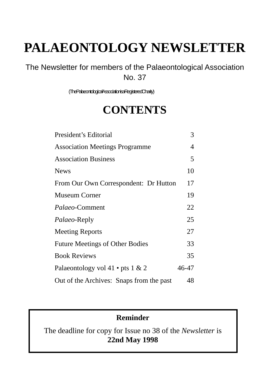# **PALAEONTOLOGY NEWSLETTER**

The Newsletter for members of the Palaeontological Association No. 37

(The Palaeontological Association is a Registered Charity)

# **CONTENTS**

| President's Editorial                    | 3     |
|------------------------------------------|-------|
| <b>Association Meetings Programme</b>    | 4     |
| <b>Association Business</b>              | 5     |
| <b>News</b>                              | 10    |
| From Our Own Correspondent: Dr Hutton    | 17    |
| Museum Corner                            | 19    |
| <i>Palaeo-Comment</i>                    | 22    |
| Palaeo-Reply                             | 25    |
| <b>Meeting Reports</b>                   | 27    |
| <b>Future Meetings of Other Bodies</b>   | 33    |
| <b>Book Reviews</b>                      | 35    |
| Palaeontology vol 41 • pts 1 & 2         | 46-47 |
| Out of the Archives: Snaps from the past | 48    |

# **Reminder**

The deadline for copy for Issue no 38 of the *Newsletter* is **22nd May 1998**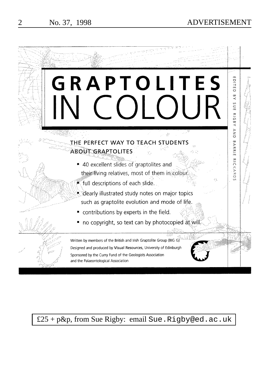# 2 No. 37, 1998 ADVERTISEMENT



£25 + p&p, from Sue Rigby: email Sue.Rigby@ed.ac.uk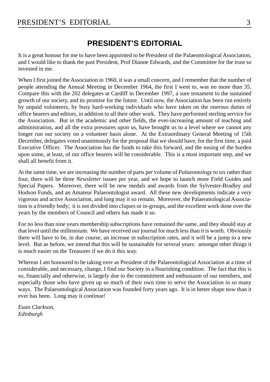# **PRESIDENT'S EDITORIAL**

It is a great honour for me to have been appointed to be President of the Palaeontological Association, and I would like to thank the past President, Prof Dianne Edwards, and the Committee for the trust so invested in me.

When I first joined the Association in 1960, it was a small concern, and I remember that the number of people attending the Annual Meeting in December 1964, the first I went to, was no more than 35. Compare this with the 202 delegates at Cardiff in December 1997, a sure testament to the sustained growth of our society, and its promise for the future. Until now, the Association has been run entirely by unpaid volunteers, by busy hard-working individuals who have taken on the onerous duties of office bearers and editors, in addition to all their other work. They have performed sterling service for the Association. But in the academic and other fields, the ever-increasing amount of teaching and administration, and all the extra pressures upon us, have brought us to a level where we cannot any longer run our society on a volunteer basis alone. At the Extraordinary General Meeting of 15th December, delegates voted unanimously for the proposal that we should have, for the first time, a paid Executive Officer. The Association has the funds to take this forward, and the easing of the burden upon some, at least, of our office bearers will be considerable. This is a most important step, and we shall all benefit from it.

At the same time, we are increasing the number of parts per volume of *Palaeontology* to six rather than four, there will be three *Newsletter* issues per year, and we hope to launch more Field Guides and Special Papers. Moreover, there will be new medals and awards from the Sylvester-Bradley and Hodson Funds, and an Amateur Palaeontologist award. All these new developments indicate a very vigorous and active Association, and long may it so remain. Moreover, the Palaeontological Association is a friendly body; it is not divided into cliques or in-groups, and the excellent work done over the years by the members of Council and others has made it so.

For no less than nine years membership subscriptions have remained the same, and they should stay at that level until the millennium. We have received our journal for much less than it is worth. Obviously there will have to be, in due course, an increase in subscription rates, and it will be a jump to a new level. But as before, we intend that this will be sustainable for several years: amongst other things it is much easier on the Treasurer if we do it this way.

Whereas I am honoured to be taking over as President of the Palaeontological Association at a time of considerable, and necessary, change, I find our Society in a flourishing condition. The fact that this is so, financially and otherwise, is largely due to the commitment and enthusiasm of our members, and especially those who have given up so much of their own time to serve the Association in so many ways. The Palaeontological Association was founded forty years ago. It is in better shape now than it ever has been. Long may it continue!

*Euan Clarkson, Edinburgh*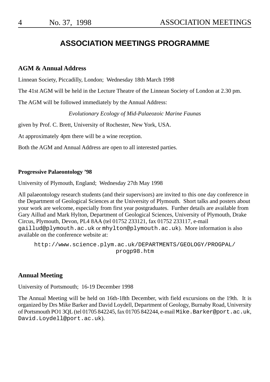4 No. 37, 1998

# ASSOCIATION MEETINGS

# **ASSOCIATION MEETINGS PROGRAMME**

# **AGM & Annual Address**

Linnean Society, Piccadilly, London; Wednesday 18th March 1998

The 41st AGM will be held in the Lecture Theatre of the Linnean Society of London at 2.30 pm.

[The AGM will be followed imme](mailto:gaillud@plymouth.ac.uk)di[ately by the Annual Address:](mailto:mhylton@plymouth.ac.uk)

*[Evolutionary Ecology of Mid-Palaeozoic Marine Faunas](http://www.science.plym.ac.uk/DEPARTMENTS/GEOLOGY/PROGPAL/progp98.htm)*

[given by Prof. C. Brett, University of Rochester, New York](http://www.science.plym.ac.uk/DEPARTMENTS/GEOLOGY/PROGPAL/progp98.htm), USA.

At approximately 4pm there will be a wine reception.

Both the AGM and Annual Address are open to all interested parties.

# **Progressive Palaeontology '98**

University of Plymouth, England; Wednesday 27th May 1998

[All palaeontology research students](mailto:David.Loydell@port.ac.uk) (and their supervisors) are invited to this one day conference in the Department of Geological Sciences at the University of Plymouth. Short talks and posters about your work are welcome, especially from first year postgraduates. Further details are available from Gary Aillud and Mark Hylton, Department of Geological Sciences, University of Plymouth, Drake Circus, Plymouth, Devon, PL4 8AA (tel 01752 233121, fax 01752 233117, e-mail gaillud@plymouth.ac.uk or mhylton@plymouth.ac.uk). More information is also available on the conference website at:

http://www.science.plym.ac.uk/DEPARTMENTS/GEOLOGY/PROGPAL/ progp98.htm

# **Annual Meeting**

University of Portsmouth; 16-19 December 1998

The Annual Meeting will be held on 16th-18th December, with field excursions on the 19th. It is organized by Drs Mike Barker and David Loydell, Department of Geology, Burnaby Road, University of Portsmouth PO1 3QL (tel 01705 842245, fax 01705 842244, e-mail Mike.Barker@port.ac.uk, David.Loydell@port.ac.uk).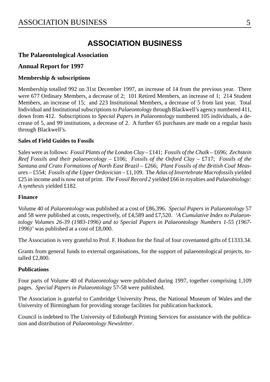# **ASSOCIATION BUSINESS**

# **The Palaeontological Association**

# **Annual Report for 1997**

# **Membership & subscriptions**

Membership totalled 992 on 31st December 1997, an increase of 14 from the previous year. There were 677 Ordinary Members, a decrease of 2; 101 Retired Members, an increase of 1; 214 Student Members, an increase of 15; and 223 Institutional Members, a decrease of 5 from last year. Total Individual and Institutional subscriptions to *Palaeontology* through Blackwell's agency numbered 411, down from 412. Subscriptions to *Special Papers in Palaeontology* numbered 105 individuals, a decrease of 5, and 99 institutions, a decrease of 2. A further 65 purchases are made on a regular basis through Blackwell's.

# **Sales of Field Guides to Fossils**

Sales were as follows: *Fossil Plants of the London Clay* – £141; *Fossils of the Chalk* – £696; *Zechstein Reef Fossils and their palaeoecology* – £106; *Fossils of the Oxford Clay* – £717; *Fossils of the* Santana and Crato Formations of North East Brazil – £266; Plant Fossils of the British Coal Meas*ures* – £554; *Fossils of the Upper Ordovician* – £1,109. The *Atlas of Invertebrate Macrofossils* yielded £25 in income and is now out of print. *The Fossil Record 2* yielded £66 in royalties and *Palaeobiology: A synthesis* yielded £182.

# **Finance**

Volume 40 of *Palaeontology* was published at a cost of £86,396. *Special Papers in Palaeontology* 57 and 58 were published at costs, respectively, of £4,589 and £7,520. *'A Cumulative Index to Palaeontology Volumes 26-39 (1983-1996) and to Special Papers in Palaeontology Numbers 1-55 (1967- 1996)'* was published at a cost of £8,000.

The Association is very grateful to Prof. F. Hodson for the final of four covenanted gifts of £1333.34.

Grants from general funds to external organisations, for the support of palaeontological projects, totalled £2,800.

# **Publications**

Four parts of Volume 40 of *Palaeontology* were published during 1997, together comprising 1,109 pages. *Special Papers in Palaeontology* 57-58 were published.

The Association is grateful to Cambridge University Press, the National Museum of Wales and the University of Birmingham for providing storage facilities for publication backstock.

Council is indebted to The University of Edinburgh Printing Services for assistance with the publication and distribution of *Palaeontology Newsletter*.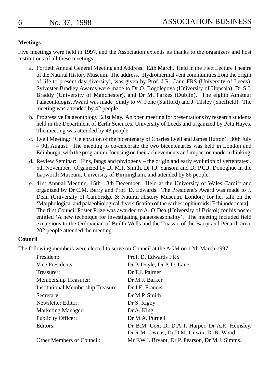# **Meetings**

Five meetings were held in 1997, and the Association extends its thanks to the organizers and host institutions of all these meetings.

- a. Fortieth Annual General Meeting and Address. 12th March. Held in the Flett Lecture Theatre of the Natural History Museum. The address, 'Hydrothermal vent communities from the origin of life to present day diversity', was given by Prof. J.R. Cann FRS (University of Leeds). Sylvester-Bradley Awards were made to Dr O. Bogolepova (University of Uppsala), Dr S.J. Braddy (University of Manchester), and Dr M. Parkes (Dublin). The eighth Amateur Palaeontologist Award was made jointly to W. Fone (Stafford) and J. Tilsley (Sheffield). The meeting was attended by 42 people.
- b. Progressive Palaeontology. 21st May. An open meeting for presentations by research students held in the Department of Earth Sciences, University of Leeds and organized by Peta Hayes. The meeting was attended by 43 people.
- c. Lyell Meeting: 'Celebration of the bicentenary of Charles Lyell and James Hutton'. 30th July – 9th August. The meeting to co-celebrate the two bicentenaries was held in London and Edinburgh, with the programme focusing on their achievements and impact on modern thinking.
- d. Review Seminar: 'Fins, fangs and phylogeny the origin and early evolution of vertebrates'. 5th November. Organized by Dr M.P. Smith, Dr I.J. Sansom and Dr P.C.J. Donoghue in the Lapworth Museum, University of Birmingham, and attended by 86 people.
- e. 41st Annual Meeting. 15th–18th December. Held at the University of Wales Cardiff and organized by Dr C.M. Berry and Prof. D. Edwards. The President's Award was made to J. Dean (University of Cambridge & Natural History Museum, London) for her talk on the 'Morphological and palaeobiological diversification of the earliest ophiuroids [Echinodermata]'. The first Council Poster Prize was awarded to A. O'Dea (University of Bristol) for his poster entitled 'A new technique for investigating palaeoseasonality'. The meeting included field excursions to the Ordovician of Builth Wells and the Triassic of the Barry and Penarth area. 202 people attended the meeting.

# **Council**

The following members were elected to serve on Council at the AGM on 12th March 1997:

| President:                                 | Prof. D. Edwards FRS                            |
|--------------------------------------------|-------------------------------------------------|
| Vice Presidents:                           | Dr P. Doyle, Dr P. D. Lane                      |
| Treasurer:                                 | Dr T.J. Palmer                                  |
| Membership Treasurer:                      | Dr M.J. Barker                                  |
| <b>Institutional Membership Treasurer:</b> | Dr J.E. Francis                                 |
| Secretary:                                 | Dr M.P. Smith                                   |
| Newsletter Editor:                         | Dr S. Rigby                                     |
| Marketing Manager:                         | Dr A. King                                      |
| Publicity Officer:                         | Dr M.A. Purnell                                 |
| Editors:                                   | Dr B.M. Cox, Dr D.A.T. Harper, Dr A.R. Hemsley, |
|                                            | Dr R.M. Owens, Dr D.M. Unwin, Dr R. Wood        |
| Other Members of Council:                  | Mr F.W.J. Bryant, Dr P. Pearson, Dr M.J. Simms. |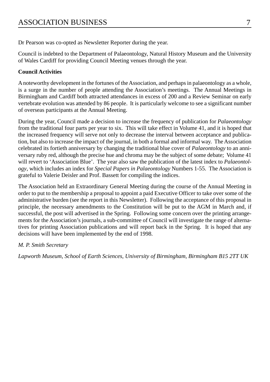Dr Pearson was co-opted as Newsletter Reporter during the year.

Council is indebted to the Department of Palaeontology, Natural History Museum and the University of Wales Cardiff for providing Council Meeting venues through the year.

# **Council Activities**

A noteworthy development in the fortunes of the Association, and perhaps in palaeontology as a whole, is a surge in the number of people attending the Association's meetings. The Annual Meetings in Birmingham and Cardiff both attracted attendances in excess of 200 and a Review Seminar on early vertebrate evolution was attended by 86 people. It is particularly welcome to see a significant number of overseas participants at the Annual Meeting.

During the year, Council made a decision to increase the frequency of publication for *Palaeontology* from the traditional four parts per year to six. This will take effect in Volume 41, and it is hoped that the increased frequency will serve not only to decrease the interval between acceptance and publication, but also to increase the impact of the journal, in both a formal and informal way. The Association celebrated its fortieth anniversary by changing the traditional blue cover of *Palaeontology* to an anniversary ruby red, although the precise hue and chroma may be the subject of some debate; Volume 41 will revert to 'Association Blue'. The year also saw the publication of the latest index to *Palaeontology*, which includes an index for *Special Papers in Palaeontology* Numbers 1-55. The Association is grateful to Valerie Deisler and Prof. Bassett for compiling the indices.

The Association held an Extraordinary General Meeting during the course of the Annual Meeting in order to put to the membership a proposal to appoint a paid Executive Officer to take over some of the administrative burden (see the report in this Newsletter). Following the acceptance of this proposal in principle, the necessary amendments to the Constitution will be put to the AGM in March and, if successful, the post will advertised in the Spring. Following some concern over the printing arrangements for the Association's journals, a sub-committee of Council will investigate the range of alternatives for printing Association publications and will report back in the Spring. It is hoped that any decisions will have been implemented by the end of 1998.

# *M. P. Smith Secretary*

*Lapworth Museum, School of Earth Sciences, University of Birmingham, Birmingham B15 2TT UK*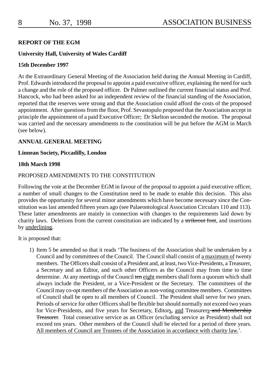#### **REPORT OF THE EGM**

## **University Hall, University of Wales Cardiff**

#### **15th December 1997**

At the Extraordinary General Meeting of the Association held during the Annual Meeting in Cardiff, Prof. Edwards introduced the proposal to appoint a paid executive officer, explaining the need for such a change and the role of the proposed officer. Dr Palmer outlined the current financial status and Prof. Hancock, who had been asked for an independent review of the financial standing of the Association, reported that the reserves were strong and that the Association could afford the costs of the proposed appointment. After questions from the floor, Prof. Sevastopulo proposed that the Association accept in principle the appointment of a paid Executive Officer; Dr Skelton seconded the motion. The proposal was carried and the necessary amendments to the constitution will be put before the AGM in March (see below).

### **ANNUAL GENERAL MEETING**

#### **Linnean Society, Piccadilly, London**

#### **18th March 1998**

## PROPOSED AMENDMENTS TO THE CONSTITUTION

Following the vote at the December EGM in favour of the proposal to appoint a paid executive officer, a number of small changes to the Constitution need to be made to enable this decision. This also provides the opportunity for several minor amendments which have become necessary since the Constitution was last amended fifteen years ago (see Palaeontological Association Circulars 110 and 113). These latter amendments are mainly in connection with changes to the requirements laid down by charity laws. Deletions from the current constitution are indicated by a strikeout font, and insertions by underlining.

It is proposed that:

1) Item 5 be amended so that it reads 'The business of the Association shall be undertaken by a Council and by committees of the Council. The Council shall consist of a maximum of twenty members. The Officers shall consist of a President and, at least, two Vice-Presidents, a Treasurer, a Secretary and an Editor, and such other Officers as the Council may from time to time determine. At any meetings of the Council ten eight members shall form a quorum which shall always include the President, or a Vice-President or the Secretary. The committees of the Council may co-opt members of the Association as non-voting committee members. Committees of Council shall be open to all members of Council. The President shall serve for two years. Periods of service for other Officers shall be flexible but should normally not exceed two years for Vice-Presidents, and five years for Secretary, Editors, and Treasurers and Membership Treasurer. Total consecutive service as an Officer (excluding service as President) shall not exceed ten years. Other members of the Council shall be elected for a period of three years. All members of Council are Trustees of the Association in accordance with charity law.'.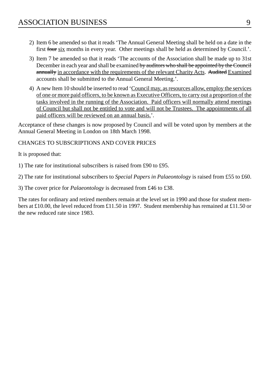- 2) Item 6 be amended so that it reads 'The Annual General Meeting shall be held on a date in the first four six months in every year. Other meetings shall be held as determined by Council.'.
- 3) Item 7 be amended so that it reads 'The accounts of the Association shall be made up to 31st December in each year and shall be examined by auditors who shall be appointed by the Council annually in accordance with the requirements of the relevant Charity Acts. Audited Examined accounts shall be submitted to the Annual General Meeting.'.
- 4) A new Item 10 should be inserted to read 'Council may, as resources allow, employ the services of one or more paid officers, to be known as Executive Officers, to carry out a proportion of the tasks involved in the running of the Association. Paid officers will normally attend meetings of Council but shall not be entitled to vote and will not be Trustees. The appointments of all paid officers will be reviewed on an annual basis.'.

Acceptance of these changes is now proposed by Council and will be voted upon by members at the Annual General Meeting in London on 18th March 1998.

# CHANGES TO SUBSCRIPTIONS AND COVER PRICES

It is proposed that:

1) The rate for institutional subscribers is raised from £90 to £95.

2) The rate for institutional subscribers to *Special Papers in Palaeontology* is raised from £55 to £60.

3) The cover price for *Palaeontology* is decreased from £46 to £38.

The rates for ordinary and retired members remain at the level set in 1990 and those for student members at £10.00, the level reduced from £11.50 in 1997. Student membership has remained at £11.50 or the new reduced rate since 1983.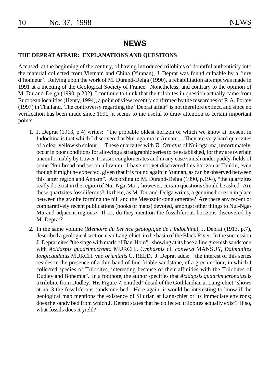# **NEWS**

#### **THE DEPRAT AFFAIR: EXPLANATIONS AND QUESTIONS**

Accused, at the beginning of the century, of having introduced trilobites of doubtful authenticity into the material collected from Vietnam and China (Yunnan), J. Deprat was found culpable by a 'jury d'honneur'. Relying upon the work of M. Durand-Delga (1990), a rehabilitation attempt was made in 1991 at a meeting of the Geological Society of France. Nonetheless, and contrary to the opinion of M. Durand-Delga (1990, p 202), I continue to think that the trilobites in question actually came from European localities (Henry, 1994), a point of view recently confirmed by the researches of R.A. Fortey (1997) in Thailand. The controversy regarding the "Deprat affair" is not therefore extinct, and since no verification has been made since 1991, it seems to me useful to draw attention to certain important points.

- 1. J. Deprat (1913, p.4) writes: "the probable oldest horizon of which we know at present in Indochina is that which I discovered at Nui-nga-ma in Annam… They are very hard quartzites of a clear yellowish colour… These quartzites with *Tr. Ornatus* of Nui-nga-ma, unfortunately, occur in poor conditions for allowing a stratigraphic series to be established, for they are overlain unconformably by Lower Triassic conglomerates and in any case vanish under paddy-fields of some 2km broad and set on alluvium. I have not yet discovered this horizon at Tonkin, even though it might he expected, given that it is found again in Yunnan, as can be observed between this latter region and Annam". According to M. Durand-Delga (1990, p.194), "the quartzites really do exist in the region of Nui-Nga-Ma"; however, certain questions should be asked. Are these quartzites fossiliferous? Is there, as M. Durand-Delga writes, a genuine horizon in place between the granite forming the hill and the Mesozoic conglomerate? Are there any recent or comparatively recent publications (books or maps) devoted, amongst other things to Nui-Nga-Ma and adjacent regions? If so, do they mention the fossiliferous horizons discovered by M. Deprat?
- 2. In the same volume (*Memoire du Service géologique de l'lndochine*), J. Deprat (1913, p.7), described a geological section near Lang-chiet, in the basin of the Black River. In the succession J. Deprat cites "the stage with marls of Ban-Hom", showing at its base a fine greenish sandstone with *Acidaspis quadrimucronta* MURCH., *Cyphaspis* cf. *convexa* MANSUY, *Dalmanites Iongicaudatus* MURCH. var. *orientalis* C. REED. J. Deprat adds: "the interest of this series resides in the presence of a thin band of fine friable sandstone, of a green colour, in which I collected species of Trilobites, interesting because of their affinities with the Trilobites of Dudley and Bohemia". In a footnote, the author specifies that *Acidapsis quadrimucronatus* is a trilobite from Dudley. His Figure 7, entitled "detail of the Gothlandian at Lang-chiet" shows at no. 3 the fossiliferous sandstone bed. Here again, it would be interesting to know if the geological map mentions the existence of Silurian at Lang-chiet or its immediate environs; does the sandy bed from which J. Deprat states that he collected trilobites actually exist? If so, what fossils does it yield?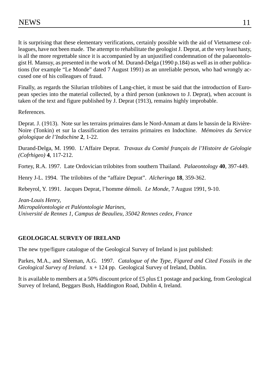It is surprising that these elementary verifications, certainly possible with the aid of Vietnamese colleagues, have not been made. The attempt to rehabilitate the geologist J. Deprat, at the very least hasty, is all the more regrettable since it is accompanied by an unjustified condemnation of the palaeontologist H. Mansuy, as presented in the work of M. Durand-Delga (1990 p.184) as well as in other publications (for example "Le Monde" dated 7 August 1991) as an unreliable person, who had wrongly accused one of his colleagues of fraud.

Finally, as regards the Silurian trilobites of Lang-chiet, it must be said that the introduction of European species into the material collected, by a third person (unknown to J. Deprat), when account is taken of the text and figure published by J. Deprat (1913), remains highly improbable.

References.

Deprat. J. (1913). Note sur les terrains primaires dans le Nord-Annam at dans le bassin de la Rivière-Noire (Tonkin) et sur la classification des terrains primaires en Indochine. *Mémoires du Service géologique de l'Indochine* **2**, 1-22.

Durand-Delga, M. 1990. L'Affaire Deprat. *Travaux du Comité français de l'Histoire de Géologie (Cofrhigeo)* **4**, 117-212.

Fortey, R.A. 1997. Late Ordovician trilobites from southern Thailand. *Palaeontology* **40**, 397-449.

Henry J-L. 1994. The trilobites of the "affaire Deprat". *Alcheringa* **18**, 359-362.

Rebeyrol, Y. 1991. Jacques Deprat, l'homme démoli. *Le Monde*, 7 August 1991, 9-10.

*Jean-Louis Henry, Micropaléontologie et Paléontologie Marines, Université de Rennes 1, Campus de Beaulieu, 35042 Rennes cedex, France*

# **GEOLOGICAL SURVEY OF IRELAND**

The new type/figure catalogue of the Geological Survey of Ireland is just published:

Parkes, M.A., and Sleeman, A.G. 1997. *Catalogue of the Type, Figured and Cited Fossils in the Geological Survey of Ireland*. x + 124 pp. Geological Survey of Ireland, Dublin.

It is available to members at a 50% discount price of £5 plus £1 postage and packing, from Geological Survey of Ireland, Beggars Bush, Haddington Road, Dublin 4, Ireland.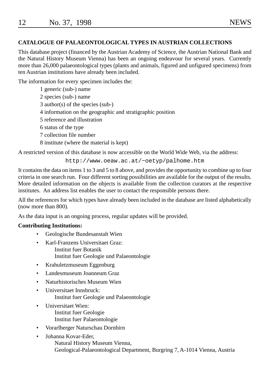| 12 | No. 37, 1998 | <b>NEWS</b> |
|----|--------------|-------------|
|    |              |             |

# **CATALOGUE OF PALAEONTOLOGICAL TYPES IN AUSTRIAN COLLECTIONS**

This database project (financed by the Austrian Academy of Science, the Austrian National Bank and the Natural History Museum Vienna) has been an ongoing endeavour for several years. Currently more than 26,000 palaeontological types (plants and animals, figured and unfigured specimens) from ten Austrian institutions have already been included.

The information for every specimen includes the:

- 1 generic (sub-) name
- 2 species (sub-) name
- 3 author(s) of the species (sub-)
- 4 information on the geographic and stratigraphic position
- 5 reference and illustration
- 6 status of the type
- 7 collection file number
- 8 institute (where the material is kept)

A restricted version of this database is now accessible on the World Wide Web, via the address:

http://www.oeaw.ac.at/~oetyp/palhome.htm

It contains the data on items 1 to 3 and 5 to 8 above, and provides the opportunity to combine up to four criteria in one search run. Four different sorting possibilities are available for the output of the results. More detailed information on the objects is available from the collection curators at the respective institutes. An address list enables the user to contact the responsible persons there.

All the references for which types have already been included in the database are listed alphabetically (now more than 800).

As the data input is an ongoing process, regular updates will be provided.

#### **Contributing Institutions:**

- Geologische Bundesanstalt Wien
	- Karl-Franzens Universitaet Graz: Institut fuer Botanik

Institut fuer Geologie und Palaeontologie

- Krahuletzmuseum Eggenburg
- Landesmuseum Joanneum Graz
- Naturhistorisches Museum Wien
- Universitaet Innsbruck:
	- Institut fuer Geologie und Palaeontologie
- Universitaet Wien: Institut fuer Geologie Institut fuer Palaeontologie
	- Vorarlberger Naturschau Dornbirn
- Johanna Kovar-Eder, Natural History Museum Vienna, Geological-Palaeontological Department, Burgring 7, A-1014 Vienna, Austria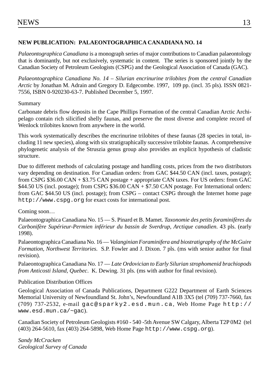#### **NEW PUBLICATION: PALAEONTOGRAPHICA CANADIANA NO. 14**

*Palaeontographica Canadiana* is a monograph series of major contributions to Canadian palaeontology that is dominantly, but not exclusively, systematic in content. The series is sponsored jointly by the Canadian Society of Petroleum Geologists (CSPG) and the Geological Association of Canada (GAC).

*[Palaeontographica Canadia](http://www.cspg.org)na No. 14 – Silurian encrinurine trilobites from the central Canadian Arctic* by Jonathan M. Adrain and Gregory D. Edgecombe. 1997, 109 pp. (incl. 35 pls). ISSN 0821- 7556, ISBN 0-920230-63-7. Published December 5, 1997.

### Summary

Carbonate debris flow deposits in the Cape Phillips Formation of the central Canadian Arctic Archipelago contain rich silicified shelly faunas, and preserve the most diverse and complete record of Wenlock trilobites known from anywhere in the world.

This work systematically describes the encrinurine trilobites of these faunas (28 species in total, including 11 new species), along with six stratigraphically successive trilobite faunas. A comprehensive phylogenetic analysis of the Struszia genus group also provides an explicit hypothesis of cladistic structure.

Due to different methods of calculating postage and handling costs, prices from the two distributors vary depending on destination. For Canadian orders: from GAC \$44.50 CAN (incl. taxes, postage); from CSPG \$36.00 CAN [+ \\$3.75 CAN postage + appropriate CAN](mailto:gac@sparky2.esd.mun.ca) taxes. For US order[s: from GAC](http://www.esd.mun.ca/~gac) [\\$44.50 US \(incl. postage\); fr](http://www.esd.mun.ca/~gac)om CSPG \$36.00 CAN + \$7.50 CAN postage. For International orders: from GAC \$44.50 US (incl. postage); from CSPG – contact CSPG through the Internet home page http://www.cspg.org for exact costs for interna[tional post.](http://www.cspg.org)

#### Coming soon…

Palaeontographica Canadiana No. 15 — S. Pinard et B. Mamet. *Taxonomie des petits foraminifères du Carbonifère Supérieur-Permien inférieur du bassin de Sverdrup, Arctique canadien*. 43 pls. (early 1998).

Palaeontographica Canadiana No. 16 — *Valanginian Foraminifera and biostratigraphy of the McGuire Formation, Northwest Territories*. S.P. Fowler and J. Dixon. 7 pls. (ms with senior author for final revision).

Palaeontographica Canadiana No. 17 — *Late Ordovician to Early Silurian strophomenid brachiopods from Anticosti Island, Quebec*. K. Dewing. 31 pls. (ms with author for final revision).

#### Publication Distribution Offices

Geological Association of Canada Publications, Department G222 Department of Earth Sciences Memorial University of Newfoundland St. John's, Newfoundland A1B 3X5 (tel (709) 737-7660, fax (709) 737-2532, e-mail gac@sparky2.esd.mun.ca, Web Home Page http:// www.esd.mun.ca/~gac).

Canadian Society of Petroleum Geologists #160 - 540 -5th Avenue SW Calgary, Alberta T2P 0M2 (tel (403) 264-5610, fax (403) 264-5898, Web Home Page http://www.cspg.org).

*Sandy McCracken Geological Survey of Canada*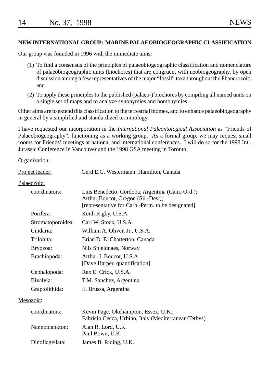#### **NEW INTERNATIONAL GROUP: MARINE PALAEOBIOGEOGRAPHIC CLASSIFICATION**

Our group was founded in 1996 with the immediate aims:

- (1) To find a consensus of the principles of palaeobiogeographic classification and nomenclature of palaeobiogeographic units (biochores) that are congruent with neobiogeography, by open discussion among a few representatives of the major "fossil" taxa throughout the Phanerozoic, and
- (2) To apply these principles to the published (palaeo-) biochores by compiling all named units on a single set of maps and to analyze synonymies and homonymies.

Other aims are to extend this classification to the terrestrial biomes, and to enhance palaeobiogeography in general by a simplified and standardized terminology.

I have requested our incorporation in the *International Paleontological Association* as "Friends of Palaeobiogeography", functioning as a working group. As a formal group, we may request small rooms for Friends' meetings at national and international conferences. I will do so for the 1998 Intl. Jurassic Conference in Vancouver and the 1998 GSA meeting in Toronto.

Organization:

| Gerd E.G. Westermann, Hamilton, Canada                                                                                                     |  |  |
|--------------------------------------------------------------------------------------------------------------------------------------------|--|--|
|                                                                                                                                            |  |  |
| Luis Benedetto, Cordoba, Argentina (Cam.-Ord.);<br>Arthur Boucot, Oregon (Sil.-Dev.);<br>[representative for Carb.-Perm. to be designated] |  |  |
| Keith Rigby, U.S.A.                                                                                                                        |  |  |
| Carl W. Stock, U.S.A.                                                                                                                      |  |  |
| William A. Oliver, Jr., U.S.A.                                                                                                             |  |  |
| Brian D. E. Chatterton, Canada                                                                                                             |  |  |
| Nils Spjeldnaes, Norway                                                                                                                    |  |  |
| Arthur J. Boucot, U.S.A.<br>[Dave Harper, quantification]                                                                                  |  |  |
| Rex E. Crick, U.S.A.                                                                                                                       |  |  |
| T.M. Sanchez, Argentina                                                                                                                    |  |  |
| E. Brussa, Argentina                                                                                                                       |  |  |
|                                                                                                                                            |  |  |
| Kevin Page, Okehampton, Essex, U.K.;<br>Fabricio Cecca, Urbino, Italy (Mediterranean/Tethys)                                               |  |  |
| Alan R. Lord, U.K.<br>Paul Bown, U.K.                                                                                                      |  |  |
| James B. Riding, U.K.                                                                                                                      |  |  |
|                                                                                                                                            |  |  |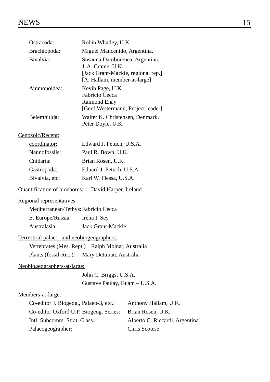| Ostracoda:                                       | Robin Whatley, U.K.                                                |                      |
|--------------------------------------------------|--------------------------------------------------------------------|----------------------|
| Brachiopoda:                                     | Miguel Mancenido, Argentina.                                       |                      |
| Bivalvia:                                        | Susanna Damborenea, Argentina.                                     |                      |
|                                                  | J. A. Crame, U.K.                                                  |                      |
|                                                  | [Jack Grant-Mackie, regional rep.]<br>[A. Hallam, member-at-large] |                      |
| Ammonoidea:                                      | Kevin Page, U.K.                                                   |                      |
|                                                  | Fabricio Cecca                                                     |                      |
|                                                  | Raimond Enay                                                       |                      |
|                                                  | [Gerd Westermann, Project leader]                                  |                      |
| Belemnitida:                                     | Walter K. Christensen, Denmark.<br>Peter Doyle, U.K.               |                      |
| Cenozoic/Recent:                                 |                                                                    |                      |
| coordinator:                                     | Edward J. Petuch, U.S.A.                                           |                      |
| Nannofossils:                                    | Paul R. Bown, U.K.                                                 |                      |
| Cnidaria:                                        | Brian Rosen, U.K.                                                  |                      |
| Gastropoda:                                      | Eduard J. Petuch, U.S.A.                                           |                      |
| Bivalvia, etc:                                   | Karl W. Flessa, U.S.A.                                             |                      |
| <b>Ouantification of biochores:</b>              | David Harper, Ireland                                              |                      |
| Regional representatives:                        |                                                                    |                      |
| Mediterranean/Tethys: Fabricio Cecca             |                                                                    |                      |
| E. Europe/Russia:                                | Irena I. Sey                                                       |                      |
| Australasia:                                     | Jack Grant-Mackie                                                  |                      |
| Terrestrial palaeo- and neobiogeographers:       |                                                                    |                      |
| Vertebrates (Mes. Rept.) Ralph Molnar, Australia |                                                                    |                      |
| Plants (fossil-Rec.): Mary Dettman, Australia    |                                                                    |                      |
| Neobiogeographers-at-large:                      |                                                                    |                      |
|                                                  | John C. Briggs, U.S.A.                                             |                      |
|                                                  | Gustave Paulay, Guam - U.S.A.                                      |                      |
| Members-at-large:                                |                                                                    |                      |
| Co-editor J. Biogeog., Palaeo-3, etc.:           |                                                                    | Anthony Hallam, U.K. |
| Co-editor Oxford II P Biogeog Series             |                                                                    | Brian Rosen II K     |

| Co-editor J. Biogeog., Palaeo-3, etc.: | Anthony Hallam, U.K.           |
|----------------------------------------|--------------------------------|
| Co-editor Oxford U.P. Biogeog. Series: | Brian Rosen, U.K.              |
| Intl. Subcomm. Strat. Class.:          | Alberto C. Riccardi, Argentina |
| Palaeogeographer:                      | Chris Scotese                  |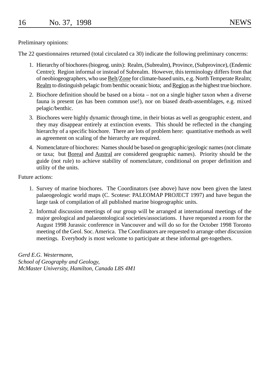Preliminary opinions:

The 22 questionnaires returned (total circulated ca 30) indicate the following preliminary concerns:

- 1. Hierarchy of biochores (biogeog. units): Realm, (Subrealm), Province, (Subprovince), (Endemic Centre); Region informal or instead of Subrealm. However, this terminology differs from that of neobiogeographers, who use Belt/Zone for climate-based units, e.g. North Temperate Realm; Realm to distinguish pelagic from benthic oceanic biota; and Region as the highest true biochore.
- 2. Biochore definition should be based on a biota not on a single higher taxon when a diverse fauna is present (as has been common use!), nor on biased death-assemblages, e.g. mixed pelagic/benthic.
- 3. Biochores were highly dynamic through time, in their biotas as well as geographic extent, and they may disappear entirely at extinction events. This should be reflected in the changing hierarchy of a specific biochore. There are lots of problem here: quantitative methods as well as agreement on scaling of the hierarchy are required.
- 4. Nomenclature of biochores: Names should be based on geographic/geologic names (not climate or taxa; but Boreal and Austral are considered geographic names). Priority should be the guide (not rule) to achieve stability of nomenclature, conditional on proper definition and utility of the units.

Future actions:

- 1. Survey of marine biochores. The Coordinators (see above) have now been given the latest palaeogeologic world maps (C. Scotese: PALEOMAP PROJECT 1997) and have begun the large task of compilation of all published marine biogeographic units.
- 2. Informal discussion meetings of our group will be arranged at international meetings of the major geological and palaeontological societies/associations. I have requested a room for the August 1998 Jurassic conference in Vancouver and will do so for the October 1998 Toronto meeting of the Geol. Soc. America. The Coordinators are requested to arrange other discussion meetings. Everybody is most welcome to participate at these informal get-togethers.

*Gerd E.G. Westermann, School of Geography and Geology, McMaster University, Hamilton, Canada L8S 4M1*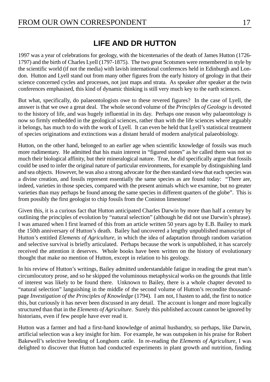# **LIFE AND DR HUTTON**

1997 was a year of celebrations for geology, with the bicentenaries of the death of James Hutton (1726- 1797) and the birth of Charles Lyell (1797-1875). The two great Scotsmen were remembered in style by the scientific world (if not the media) with lavish international conferences held in Edinburgh and London. Hutton and Lyell stand out from many other figures from the early history of geology in that their science concerned cycles and processes, not just maps and strata. As speaker after speaker at the twin conferences emphasised, this kind of dynamic thinking is still very much key to the earth sciences.

But what, specifically, do palaeontologists owe to these revered figures? In the case of Lyell, the answer is that we owe a great deal. The whole second volume of the *Principles of Geology* is devoted to the history of life, and was hugely influential in its day. Perhaps one reason why palaeontology is now so firmly embedded in the geological sciences, rather than with the life sciences where arguably it belongs, has much to do with the work of Lyell. It can even be held that Lyell's statistical treatment of species originations and extinctions was a distant herald of modern analytical palaeobiology.

Hutton, on the other hand, belonged to an earlier age when scientific knowledge of fossils was much more rudimentary. He admitted that his main interest in "figured stones" as he called them was not so much their biological affinity, but their mineralogical nature. True, he did specifically argue that fossils could be used to infer the original nature of particular environments, for example by distinguishing land and sea objects. However, he was also a strong advocate for the then standard view that each species was a divine creation, and fossils represent essentially the same species as are found today: "There are, indeed, varieties in those species, compared with the present animals which we examine, but no greater varieties than may perhaps be found among the same species in different quarters of the globe". This is from possibly the first geologist to chip fossils from the Coniston limestone!

Given this, it is a curious fact that Hutton anticipated Charles Darwin by more than half a century by outlining the principles of evolution by "natural selection" (although he did not use Darwin's phrase). I was amazed when I first learned of this from an article written 50 years ago by E.B. Bailey to mark the 150th anniversary of Hutton's death. Bailey had uncovered a lengthy unpublished manuscript of Hutton's entitled *Elements of Agriculture*, in which the idea of adaptation through random variation and selective survival is briefly articulated. Perhaps because the work is unpublished, it has scarcely received the attention it deserves. Whole books have been written on the history of evolutionary thought that make no mention of Hutton, except in relation to his geology.

In his review of Hutton's writings, Bailey admitted understandable fatigue in reading the great man's circumlocutory prose, and so he skipped the voluminous metaphysical works on the grounds that little of interest was likely to be found there. Unknown to Bailey, there is a whole chapter devoted to "natural selection" languishing in the middle of the second volume of Hutton's recondite thousandpage *Investigation of the Principles of Knowledge* (1794). I am not, I hasten to add, the first to notice this, but curiously it has never been discussed in any detail. The account is longer and more logically structured than that in the *Elements of Agriculture*. Surely this published account cannot be ignored by historians, even if few people have ever read it.

Hutton was a farmer and had a first-hand knowledge of animal husbandry, so perhaps, like Darwin, artificial selection was a key insight for him. For example, he was outspoken in his praise for Robert Bakewell's selective breeding of Longhorn cattle. In re-reading the *Elements of Agriculture*, I was delighted to discover that Hutton had conducted experiments in plant growth and nutrition, finding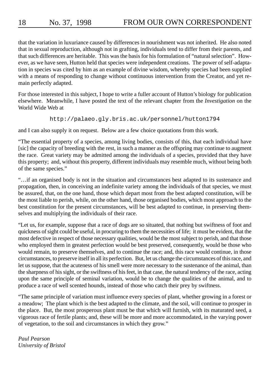# 18 No. 37, 1998 FROM OUR OWN CORRESPONDENT

that the variation in luxuriance caused by differences in nourishment was not inherited. He also noted that in sexual reproduction, although not in grafting, individuals tend to differ from their parents, and that such differences are heritable. This was the basis for his formulation of "natural selection". However, as we have seen, Hutton held that species were independent creations. The power of self-adaptation in species was cited by him as an example of divine wisdom, whereby species had been supplied with a means of responding to change without continuous intervention from the Creator, and yet remain perfectly adapted.

For those interested in this subject, I hope to write a fuller account of Hutton's biology for publication elsewhere. Meanwhile, I have posted the text of the relevant chapter from the *Investigation* on the World Wide Web at

#### http://palaeo.gly.bris.ac.uk/personnel/hutton1794

and I can also supply it on request. Below are a few choice quotations from this work.

"The essential property of a species, among living bodies, consists of this, that each individual have [sic] the capacity of breeding with the rest, in such a manner as the offspring may continue to augment the race. Great variety may be admitted among the individuals of a species, provided that they have this property; and, without this property, different individuals may resemble much, without being both of the same species."

"…if an organised body is not in the situation and circumstances best adapted to its sustenance and propagation, then, in conceiving an indefinite variety among the individuals of that species, we must be assured, that, on the one hand, those which depart most from the best adapted constitution, will be the most liable to perish, while, on the other hand, those organised bodies, which most approach to the best constitution for the present circumstances, will be best adapted to continue, in preserving themselves and multiplying the individuals of their race.

"Let us, for example, suppose that a race of dogs are so situated, that nothing but swiftness of foot and quickness of sight could be useful, in procuring to them the necessities of life; it must be evident, that the most defective in respect of those necessary qualities, would be the most subject to perish, and that those who employed them in greatest perfection would be best preserved, consequently, would be those who would remain, to preserve themselves, and to continue the race; and, this race would continue, in those circumstances, to preserve itself in all its perfection. But, let us change the circumstances of this race, and let us suppose, that the acuteness of his smell were more necessary to the sustenance of the animal, than the sharpness of his sight, or the swiftness of his feet, in that case, the natural tendency of the race, acting upon the same principle of seminal variation, would be to change the qualities of the animal, and to produce a race of well scented hounds, instead of those who catch their prey by swiftness.

"The same principle of variation must influence every species of plant, whether growing in a forest or a meadow; The plant which is the best adapted to the climate, and the soil, will continue to prosper in the place. But, the most prosperous plant must be that which will furnish, with its maturated seed, a vigorous race of fertile plants; and, these will be more and more accommodated, in the varying power of vegetation, to the soil and circumstances in which they grow."

*Paul Pearson University of Bristol*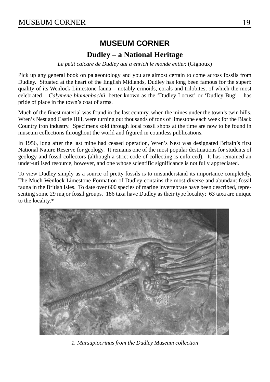# **MUSEUM CORNER**

# **Dudley – a National Heritage**

*Le petit calcare de Dudley qui a enrich le monde entier.* (Gignoux)

Pick up any general book on palaeontology and you are almost certain to come across fossils from Dudley. Situated at the heart of the English Midlands, Dudley has long been famous for the superb quality of its Wenlock Limestone fauna – notably crinoids, corals and trilobites, of which the most celebrated – *Calymene blumenbachii*, better known as the 'Dudley Locust' or 'Dudley Bug' – has pride of place in the town's coat of arms.

Much of the finest material was found in the last century, when the mines under the town's twin hills, Wren's Nest and Castle Hill, were turning out thousands of tons of limestone each week for the Black Country iron industry. Specimens sold through local fossil shops at the time are now to be found in museum collections throughout the world and figured in countless publications.

In 1956, long after the last mine had ceased operation, Wren's Nest was designated Britain's first National Nature Reserve for geology. It remains one of the most popular destinations for students of geology and fossil collectors (although a strict code of collecting is enforced). It has remained an under-utilised resource, however, and one whose scientific significance is not fully appreciated.

To view Dudley simply as a source of pretty fossils is to misunderstand its importance completely. The Much Wenlock Limestone Formation of Dudley contains the most diverse and abundant fossil fauna in the British Isles. To date over 600 species of marine invertebrate have been described, representing some 29 major fossil groups. 186 taxa have Dudley as their type locality; 63 taxa are unique to the locality.\*



*1. Marsupiocrinus from the Dudley Museum collection*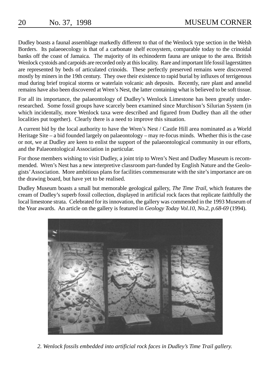Dudley boasts a faunal assemblage markedly different to that of the Wenlock type section in the Welsh Borders. Its palaeoecology is that of a carbonate shelf ecosystem, comparable today to the crinoidal banks off the coast of Jamaica. The majority of its echinoderm fauna are unique to the area. British Wenlock cystoids and carpoids are recorded only at this locality. Rare and important life fossil lagerstätten are represented by beds of articulated crinoids. These perfectly preserved remains were discovered mostly by miners in the 19th century. They owe their existence to rapid burial by influxes of terrigenous mud during brief tropical storms or waterlain volcanic ash deposits. Recently, rare plant and annelid remains have also been discovered at Wren's Nest, the latter containing what is believed to be soft tissue.

For all its importance, the palaeontology of Dudley's Wenlock Limestone has been greatly underresearched. Some fossil groups have scarcely been examined since Murchison's Silurian System (in which incidentally, more Wenlock taxa were described and figured from Dudley than all the other localities put together). Clearly there is a need to improve this situation.

A current bid by the local authority to have the Wren's Nest / Castle Hill area nominated as a World Heritage Site – a bid founded largely on palaeontology – may re-focus minds. Whether this is the case or not, we at Dudley are keen to enlist the support of the palaeontological community in our efforts, and the Palaeontological Association in particular.

For those members wishing to visit Dudley, a joint trip to Wren's Nest and Dudley Museum is recommended. Wren's Nest has a new interpretive classroom part-funded by English Nature and the Geologists' Association. More ambitious plans for facilities commensurate with the site's importance are on the drawing board, but have yet to be realised.

Dudley Museum boasts a small but memorable geological gallery, *The Time Trail*, which features the cream of Dudley's superb fossil collection, displayed in artificial rock faces that replicate faithfully the local limestone strata. Celebrated for its innovation, the gallery was commended in the 1993 Museum of the Year awards. An article on the gallery is featured in *Geology Today Vol.10, No.2, p.68-69* (1994).



*2. Wenlock fossils embedded into artificial rock faces in Dudley's Time Trail gallery.*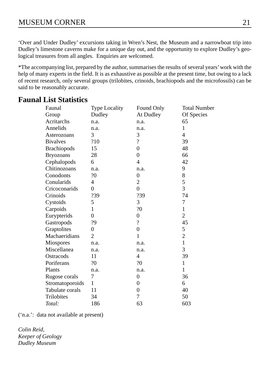'Over and Under Dudley' excursions taking in Wren's Nest, the Museum and a narrowboat trip into Dudley's limestone caverns make for a unique day out, and the opportunity to explore Dudley's geological treasures from all angles. Enquiries are welcomed.

\*The accompanying list, prepared by the author, summarises the results of several years' work with the help of many experts in the field. It is as exhaustive as possible at the present time, but owing to a lack of recent research, only several groups (trilobites, crinoids, brachiopods and the microfossils) can be said to be reasonably accurate.

| Faunal             | <b>Type Locality</b> | Found Only               | <b>Total Number</b> |
|--------------------|----------------------|--------------------------|---------------------|
| Group              | Dudley               | At Dudley                | Of Species          |
| Acritarchs         | n.a.                 | n.a.                     | 65                  |
| Annelids           | n.a.                 | n.a.                     | 1                   |
| Asterozoans        | 3                    | 3                        | $\overline{4}$      |
| <b>Bivalves</b>    | ?10                  | $\overline{\mathcal{L}}$ | 39                  |
| <b>Brachiopods</b> | 15                   | $\theta$                 | 48                  |
| <b>Bryozoans</b>   | 28                   | $\Omega$                 | 66                  |
| Cephalopods        | 6                    | 4                        | 42                  |
| Chitinozoans       | n.a.                 | n.a.                     | 9                   |
| Conodonts          | ?0                   | $\overline{0}$           | 8                   |
| Conularids         | 4                    | 2                        | 5                   |
| Cricoconarids      | $\theta$             | $\theta$                 | 3                   |
| Crinoids           | ?39                  | ?39                      | 74                  |
| Cystoids           | 5                    | 3                        | 7                   |
| Carpoids           | 1                    | ?0                       | 1                   |
| Eurypterids        | $\theta$             | $\overline{0}$           | $\overline{c}$      |
| Gastropods         | ?9                   | $\overline{\mathcal{L}}$ | 45                  |
| Graptolites        | 0                    | $\overline{0}$           | 5                   |
| Machaeridians      | 2                    | 1                        | $\overline{c}$      |
| Miospores          | n.a.                 | n.a.                     | $\mathbf{1}$        |
| Miscellanea        | n.a.                 | n.a.                     | 3                   |
| Ostracods          | 11                   | 4                        | 39                  |
| Poriferans         | ?0                   | ?0                       | 1                   |
| Plants             | n.a.                 | n.a.                     | 1                   |
| Rugose corals      | 7                    | $\overline{0}$           | 36                  |
| Stromatoporoids    | 1                    | $\overline{0}$           | 6                   |
| Tabulate corals    | 11                   | $\overline{0}$           | 40                  |
| Trilobites         | 34                   | 7                        | 50                  |
| Total:             | 186                  | 63                       | 603                 |

# **Faunal List Statistics**

('n.a.': data not available at present)

*Colin Reid, Keeper of Geology Dudley Museum*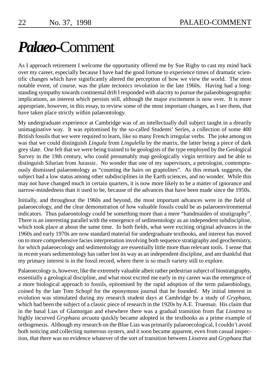# *Palaeo***-**Comment

As I approach retirement I welcome the opportunity offered me by Sue Rigby to cast my mind back over my career, especially because I have had the good fortune to experience times of dramatic scientific changes which have significantly altered the perception of how we view the world. The most notable event, of course, was the plate tectonics revolution in the late 1960s. Having had a longstanding sympathy towards continental drift I responded with alacrity to pursue the palaeobiogeographic implications, an interest which persists still, although the major excitement is now over. It is more appropriate, however, in this essay, to review some of the most important changes, as I see them, that have taken place strictly within palaeontology.

My undergraduate experience at Cambridge was of an intellectually dull subject taught in a drearily unimaginative way. It was epitomised by the so-called Students' Series, a collection of some 400 British fossils that we were required to learn, like so many French irregular verbs. The joke among us was that we could distinguish *Lingula* from *Lingulella* by the matrix, the latter being a piece of dark grey slate. One felt that we were being trained to be geologists of the type employed by the Geological Survey in the 19th century, who could presumably map geologically virgin territory and be able to distinguish Silurian from Jurassic. No wonder that one of my supervisors, a petrologist, contemptuously dismissed palaeontology as "counting the hairs on graptolites". As this remark suggests, the subject had a low status among other subdisciplines in the Earth sciences, and no wonder. While this may not have changed much in certain quarters, it is now more likely to be a matter of ignorance and narrow-mindedness than it used to be, because of the advances that have been made since the 1950s.

Initially, and throughout the 1960s and beyond, the most important advances were in the field of palaeoecology, and the clear demonstration of how valuable fossils could be as palaeoenvironmental indicators. Thus palaeontology could be something more than a mere "handmaiden of stratigraphy". There is an interesting parallel with the emergence of sedimentology as an independent subdiscipline, which took place at about the same time. In both fields, what were exciting original advances in the 1960s and early 1970s are now standard material for undergraduate textbooks, and interest has moved on to more comprehensive facies interpretation involving both sequence stratigraphy and geochemistry, for which palaeoecology and sedimentology are essentially little more than relevant tools. I sense that in recent years sedimentology has rather lost its way as an independent discipline, and am thankful that my primary interest is in the fossil record, where there is so much variety still to explore.

Palaeoecology is, however, like the extremely valuable albeit rather pedestrian subject of biostratigraphy, essentially a geological discipline, and what most excited me early in my career was the emergence of a more biological approach to fossils, epitomised by the rapid adoption of the term palaeobiology, coined by the late Tom Schopf for the eponymous journal that he founded. My initial interest in evolution was stimulated during my research student days at Cambridge by a study of *Gryphaea*, which had been the subject of a classic piece of research in the 1920s by A.E. Trueman. His claim that in the basal Lias of Glamorgan and elsewhere there was a gradual transition from flat *Liostrea* to highly incurved *Gryphaea arcuata* quickly became adopted in the textbooks as a prime example of orthogenesis. Although my research on the Blue Lias was primarily palaeoecological, I couldn't avoid both noticing and collecting numerous oysters, and it soon became apparent, even from casual inspection, that there was no evidence whatever of the sort of transition between *Liostrea* and *Gryphaea* that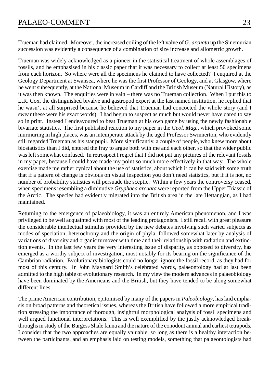Trueman had claimed. Moreover, the increased coiling of the left valve of *G. arcuata* up the Sinemurian succession was evidently a consequence of a combination of size increase and allometric growth.

Trueman was widely acknowledged as a pioneer in the statistical treatment of whole assemblages of fossils, and he emphasised in his classic paper that it was necessary to collect at least 50 specimens from each horizon. So where were all the specimens he claimed to have collected? I enquired at the Geology Department at Swansea, where he was the first Professor of Geology, and at Glasgow, where he went subsequently, at the National Museum in Cardiff and the British Museum (Natural History), as it was then known. The enquiries were in vain – there was no Trueman collection. When I put this to L.R. Cox, the distinguished bivalve and gastropod expert at the last named institution, he replied that he wasn't at all surprised because he believed that Trueman had concocted the whole story (and I swear these were his exact words). I had begun to suspect as much but would never have dared to say so in print. Instead I endeavoured to beat Trueman at his own game by using the newly fashionable bivariate statistics. The first published reaction to my paper in the *Geol. Mag.*, which provoked some murmuring in high places, was an intemperate attack by the aged Professor Swinnerton, who evidently still regarded Trueman as his star pupil. More significantly, a couple of people, who knew more about biostatistics than I did, entered the fray to argue both with me and each other, so that the wider public was left somewhat confused. In retrospect I regret that I did not put any pictures of the relevant fossils in my paper, because I could have made my point so much more effectively in that way. The whole exercise made me rather cynical about the use of statistics, about which it can be said with some truth that if a pattern of change is obvious on visual inspection you don't need statistics, but if it is not, no number of probability statistics will persuade the sceptic. Within a few years the controversy ceased, when specimens resembling a diminutive *Gryphaea arcuata* were reported from the Upper Triassic of the Arctic. The species had evidently migrated into the British area in the late Hettangian, as I had maintained.

Returning to the emergence of palaeobiology, it was an entirely American phenomenon, and I was privileged to be well acquainted with most of the leading protagonists. I still recall with great pleasure the considerable intellectual stimulus provided by the new debates involving such varied subjects as modes of speciation, heterochrony and the origin of phyla, followed somewhat later by analysis of variations of diversity and organic turnover with time and their relationship with radiation and extinction events. In the last few years the very interesting issue of disparity, as opposed to diversity, has emerged as a worthy subject of investigation, most notably for its bearing on the significance of the Cambrian radiation. Evolutionary biologists could no longer ignore the fossil record, as they had for most of this century. In John Maynard Smith's celebrated words, palaeontology had at last been admitted to the high table of evolutionary research. In my view the modern advances in palaeobiology have been dominated by the Americans and the British, but they have tended to be along somewhat different lines.

The prime American contribution, epitomised by many of the papers in *Paleobiology*, has laid emphasis on broad patterns and theoretical issues, whereas the British have followed a more empirical tradition stressing the importance of thorough, insightful morphological analysis of fossil specimens and well argued functional interpretations. This is well exemplified by the justly acknowledged breakthroughs in study of the Burgess Shale fauna and the nature of the conodont animal and earliest tetrapods. I consider that the two approaches are equally valuable, so long as there is a healthy interaction between the participants, and an emphasis laid on testing models, something that palaeontologists had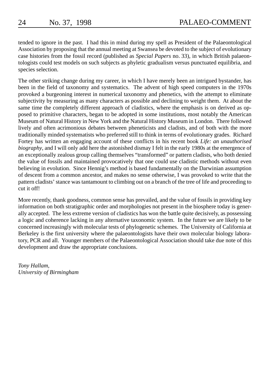tended to ignore in the past. I had this in mind during my spell as President of the Palaeontological Association by proposing that the annual meeting at Swansea be devoted to the subject of evolutionary case histories from the fossil record (published as *Special Papers* no. 33), in which British palaeontologists could test models on such subjects as phyletic gradualism versus punctuated equilibria, and species selection.

The other striking change during my career, in which I have merely been an intrigued bystander, has been in the field of taxonomy and systematics. The advent of high speed computers in the 1970s provoked a burgeoning interest in numerical taxonomy and phenetics, with the attempt to eliminate subjectivity by measuring as many characters as possible and declining to weight them. At about the same time the completely different approach of cladistics, where the emphasis is on derived as opposed to primitive characters, began to be adopted in some institutions, most notably the American Museum of Natural History in New York and the Natural History Museum in London. There followed lively and often acrimonious debates between pheneticists and cladists, and of both with the more traditionally minded systematists who preferred still to think in terms of evolutionary grades. Richard Fortey has written an engaging account of these conflicts in his recent book *Life: an unauthorised biography*, and I will only add here the astonished dismay I felt in the early 1980s at the emergence of an exceptionally zealous group calling themselves "transformed" or pattern cladists, who both denied the value of fossils and maintained provocatively that one could use cladistic methods without even believing in evolution. Since Hennig's method is based fundamentally on the Darwinian assumption of descent from a common ancestor, and makes no sense otherwise, I was provoked to write that the pattern cladists' stance was tantamount to climbing out on a branch of the tree of life and proceeding to cut it off!

More recently, thank goodness, common sense has prevailed, and the value of fossils in providing key information on both stratigraphic order and morphologies not present in the biosphere today is generally accepted. The less extreme version of cladistics has won the battle quite decisively, as possessing a logic and coherence lacking in any alternative taxonomic system. In the future we are likely to be concerned increasingly with molecular tests of phylogenetic schemes. The University of California at Berkeley is the first university where the palaeontologists have their own molecular biology laboratory, PCR and all. Younger members of the Palaeontological Association should take due note of this development and draw the appropriate conclusions.

*Tony Hallam, University of Birmingham*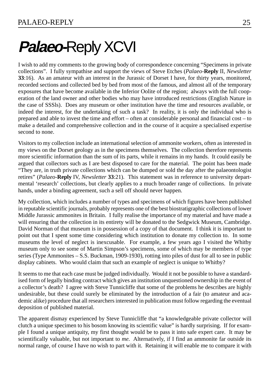# **Palaeo-**Reply XCVI

I wish to add my comments to the growing body of correspondence concerning "Specimens in private collections". I fully sympathise and support the views of Steve Etches (*Palaeo*-**Reply** II, *Newsletter* **33**:16). As an amateur with an interest in the Jurassic of Dorset I have, for thirty years, monitored, recorded sections and collected bed by bed from most of the famous, and almost all of the temporary exposures that have become available in the Inferior Oolite of the region; always with the full cooperation of the land owner and other bodies who may have introduced restrictions (English Nature in the case of SSSls). Does any museum or other institution have the time and resources available, or indeed the interest, for the undertaking of such a task? In reality, it is only the individual who is prepared and able to invest the time and effort – often at considerable personal and financial cost – to make a detailed and comprehensive collection and in the course of it acquire a specialised expertise second to none.

Visitors to my collection include an international selection of ammonite workers, often as interested in my views on the Dorset geology as in the specimens themselves. The collection therefore represents more scientific information than the sum of its parts, while it remains in my hands. It could easily be argued that collectors such as I are best disposed to care for the material. The point has been made "They are, in truth private collections which can be dumped or sold the day after the palaeontologist retires" (*Palaeo*-**Reply** IV, *Newsletter* **33**:21). This statement was in reference to university departmental 'research' collections, but clearly applies to a much broader range of collections. In private hands, under a binding agreement, such a sell off should never happen.

My collection, which includes a number of types and specimens of which figures have been published in reputable scientific journals, probably represents one of the best biostratigraphic collections of lower Middle Jurassic ammonites in Britain. I fully realise the importance of my material and have made a will ensuring that the collection in its entirety will be donated to the Sedgwick Museum, Cambridge. David Norman of that museum is in possession of a copy of that document. I think it is important to point out that I spent some time considering which institution to donate my collection to. In some museums the level of neglect is inexcusable. For example, a few years ago I visited the Whitby museum only to see some of Martin Simpson's specimens, some of which may be members of type series (Type Ammonites – S.S. Buckman, 1909-1930), rotting into piles of dust for all to see in public display cabinets. Who would claim that such an example of neglect is unique to Whitby?

It seems to me that each case must be judged individually. Would it not be possible to have a standardised form of legally binding contract which gives an institution unquestioned ownership in the event of a collector's death? I agree with Steve Tunnicliffe that some of the problems he describes are highly undesirable, but these could surely be eliminated by the introduction of a fair (to amateur and academic alike) procedure that all researchers interested in publication must follow regarding the eventual deposition of published material.

The apparent dismay experienced by Steve Tunnicliffe that "a knowledgeable private collector will clutch a unique specimen to his bosom knowing its scientific value" is hardly surprising. If for example I found a unique antiquity, my first thought would be to pass it into safe expert care. It may be scientifically valuable, but not important to *me*. Alternatively, if I find an ammonite far outside its normal range, of course I have no wish to part with it. Retaining it will enable me to compare it with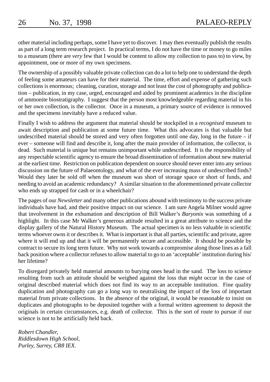other material including perhaps, some I have yet to discover. I may then eventually publish the results as part of a long term research project. In practical terms, I do not have the time or money to go miles to a museum (there are *very* few that I would be content to allow my collection to pass to) to view, by appointment, one or more of my own specimens.

The ownership of a possibly valuable private collection can do a lot to help one to understand the depth of feeling some amateurs can have for their material. The time, effort and expense of gathering such collections is enormous; cleaning, curation, storage and not least the cost of photography and publication – publication, in my case, urged, encouraged and aided by prominent academics in the discipline of ammonite biostratigraphy. I suggest that the person most knowledgeable regarding material in his or her own collection, is the collector. Once in a museum, a primary source of evidence is removed and the specimens inevitably have a reduced value.

Finally I wish to address the argument that material should be stockpiled in a *recognised* museum to await description and publication at some future time. What this advocates is that valuable but undescribed material should be stored and very often forgotten until one day, long in the future – if ever – someone will find and describe it, long after the main provider of information, the collector, is dead. Such material is unique but remains unimportant while undescribed. It is the responsibility of any respectable scientific agency to ensure the broad dissemination of information about new material at the earliest time. Restriction on publication dependent on source should never enter into any serious discussion on the future of Palaeontology, and what of the ever increasing mass of undescribed finds? Would they later be sold off when the museum was short of storage space or short of funds, and needing to avoid an academic redundancy? A similar situation to the aforementioned private collector who ends up strapped for cash or in a wheelchair?

The pages of our *Newsletter* and many other publications abound with testimony to the success private individuals have had, and their positive impact on our science. I am sure Angela Milner would agree that involvement in the exhumation and description of Bill Walker's *Baryonix* was something of a highlight. In this case Mr Walker's generous attitude resulted in a great attribute to science and the display gallery of the Natural History Museum. The actual specimen is no less valuable in scientific terms whoever owns it or describes it. What is important is that all parties, scientific and private, agree where it will end up and that it will be permanently secure and accessible. It should be possible by contract to secure its long term future. Why not work towards a compromise along those lines as a fall back position where a collector refuses to allow material to go to an 'acceptable' institution during his/ her lifetime?

To disregard privately held material amounts to burying ones head in the sand. The loss to science resulting from such an attitude should be weighed against the loss that *might* occur in the case of original described material which does not find its way to an acceptable institution. Fine quality duplication and photography can go a long way to neutralising the impact of the loss of important material from private collections. In the absence of the original, it would be reasonable to insist on duplicates and photographs to be deposited together with a formal written agreement to deposit the originals in certain circumstances, e.g. death of collector. This is the sort of route to pursue if our science is not to be artificially held back.

*Robert Chandler, Riddlesdown High School, Purley, Surrey, CR8 IEX.*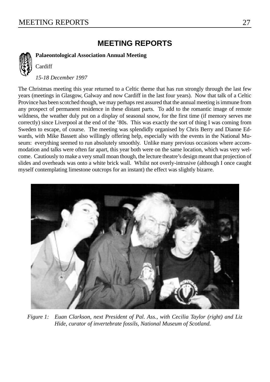**Cardiff** 

# **MEETING REPORTS**

**Palaeontological Association Annual Meeting**

*15-18 December 1997*

The Christmas meeting this year returned to a Celtic theme that has run strongly through the last few years (meetings in Glasgow, Galway and now Cardiff in the last four years). Now that talk of a Celtic Province has been scotched though, we may perhaps rest assured that the annual meeting is immune from any prospect of permanent residence in these distant parts. To add to the romantic image of remote wildness, the weather duly put on a display of seasonal snow, for the first time (if memory serves me correctly) since Liverpool at the end of the '80s. This was exactly the sort of thing I was coming from Sweden to escape, of course. The meeting was splendidly organised by Chris Berry and Dianne Edwards, with Mike Bassett also willingly offering help, especially with the events in the National Museum: everything seemed to run absolutely smoothly. Unlike many previous occasions where accommodation and talks were often far apart, this year both were on the same location, which was very welcome. Cautiously to make a very small moan though, the lecture theatre's design meant that projection of slides and overheads was onto a white brick wall. Whilst not overly-intrusive (although I once caught myself contemplating limestone outcrops for an instant) the effect was slightly bizarre.



*Figure 1: Euan Clarkson, next President of Pal. Ass., with Cecilia Taylor (right) and Liz Hide, curator of invertebrate fossils, National Museum of Scotland.*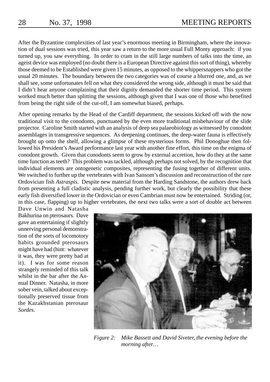After the Byzantine complexities of last year's enormous meeting in Birmingham, where the innovation of dual sessions was tried, this year saw a return to the more usual Full Monty approach: if you turned up, you saw everything. In order to cram in the still large numbers of talks into the time, an ageist device was employed (no doubt there is a European Directive against this sort of thing), whereby those deemed to be Established were given 15 minutes, as opposed to the whippersnappers who got the usual 20 minutes. The boundary between the two categories was of course a blurred one, and, as we shall see, some unfortunates fell on what they considered the wrong side, although it must be said that I didn't hear anyone complaining that their dignity demanded the shorter time period. This system worked much better than splitting the sessions, although given that I was one of those who benefited from being the right side of the cut-off, I am somewhat biased, perhaps.

After opening remarks by the Head of the Cardiff department, the sessions kicked off with the now traditional visit to the conodonts, punctuated by the even more traditional misbehaviour of the slide projector. Caroline Smith started with an analysis of deep sea palaeobiology as witnessed by conodont assemblages in transgressive sequences. As deepening continues, the deep-water fauna is effectively brought up onto the shelf, allowing a glimpse of these mysterious forms. Phil Donoghue then followed his President's Award performance last year with another fine effort, this time on the enigma of conodont growth. Given that conodonts seem to grow by external accretion, how do they at the same time function as teeth? This problem was tackled, although perhaps not solved, by the recognition that individual elements are ontogenetic composites, representing the fusing together of different units. We switched to further up the vertebrates with Ivan Sansom's discussion and reconstruction of the rare Ordovician fish *Astraspis*. Despite new material from the Harding Sandstone, the authors drew back from presenting a full cladistic analysis, pending further work, but clearly the possibility that these early fish diversified lower in the Ordovician or even Cambrian must now be entertained. Striding (or, in this case, flapping) up to higher vertebrates, the next two talks were a sort of double act between

Dave Unwin and Natasha Bakhurina on pterosaurs. Dave gave an entertaining if slightly unnerving personal demonstration of the sorts of locomotory habits grounded pterosaurs might have had (hint: whatever it was, they were pretty bad at it). I was for some reason strangely reminded of this talk whilst in the bar after the Annual Dinner. Natasha, in more sober vein, talked about exceptionally preserved tissue from the Kazakhstanian pterosaur *Sordes*.



*Figure 2: Mike Bassett and David Siveter, the evening before the morning after…*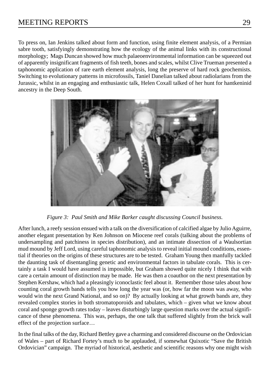To press on, Ian Jenkins talked about form and function, using finite element analysis, of a Permian sabre tooth, satisfyingly demonstrating how the ecology of the animal links with its constructional morphology; Mags Duncan showed how much palaeoenvironmental information can be squeezed out of apparently insignificant fragments of fish teeth, bones and scales, whilst Clive Trueman presented a taphonomic application of rare earth element analysis, long the preserve of hard rock geochemists. Switching to evolutionary patterns in microfossils, Taniel Danelian talked about radiolarians from the Jurassic, whilst in an engaging and enthusiastic talk, Helen Coxall talked of her hunt for hantkeninid ancestry in the Deep South.



*Figure 3: Paul Smith and Mike Barker caught discussing Council business.*

After lunch, a reefy session ensued with a talk on the diversification of calcified algae by Julio Aguirre, another elegant presentation by Ken Johnson on Miocene reef corals (talking about the problems of undersampling and patchiness in species distribution), and an intimate dissection of a Waulsortian mud mound by Jeff Lord, using careful taphonomic analysis to reveal initial mound conditions, essential if theories on the origins of these structures are to be tested. Graham Young then manfully tackled the daunting task of disentangling genetic and environmental factors in tabulate corals. This is certainly a task I would have assumed is impossible, but Graham showed quite nicely I think that with care a certain amount of distinction may be made. He was then a coauthor on the next presentation by Stephen Kershaw, which had a pleasingly iconoclastic feel about it. Remember those tales about how counting coral growth bands tells you how long the year was (or, how far the moon was away, who would win the next Grand National, and so on)? By actually looking at what growth bands are, they revealed complex stories in both stromatoporoids and tabulates, which – given what we know about coral and sponge growth rates today – leaves disturbingly large question marks over the actual significance of these phenomena. This was, perhaps, the one talk that suffered slightly from the brick wall effect of the projection surface…

In the final talks of the day, Richard Bettley gave a charming and considered discourse on the Ordovician of Wales – part of Richard Fortey's much to be applauded, if somewhat Quixotic "Save the British Ordovician" campaign. The myriad of historical, aesthetic and scientific reasons why one might wish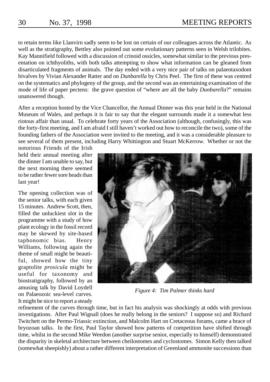to retain terms like Llanvirn sadly seem to be lost on certain of our colleagues across the Atlantic. As well as the stratigraphy, Bettley also pointed out some evolutionary patterns seen in Welsh trilobites. Kay Mannifield followed with a discussion of crinoid ossicles, somewhat similar to the previous presentation on ichthyoliths, with both talks attempting to show what information can be gleaned from disarticulated fragments of animals. The day ended with a very nice pair of talks on palaeotaxodont bivalves by Vivian Alexander Ratter and on *Dunbarella* by Chris Peel. The first of these was centred on the systematics and phylogeny of the group, and the second was an entertaining examination of the mode of life of paper pectens: the grave question of "where are all the baby *Dunbarella*?" remains unanswered though.

After a reception hosted by the Vice Chancellor, the Annual Dinner was this year held in the National Museum of Wales, and perhaps it is fair to say that the elegant surrounds made it a somewhat less riotous affair than usual. To celebrate forty years of the Association (although, confusingly, this was the forty-first meeting, and I am afraid I still haven't worked out how to reconcile the two), some of the founding fathers of the Association were invited to the meeting, and it was a considerable pleasure to see several of them present, including Harry Whittington and Stuart McKerrow. Whether or not the

notorious Friends of the Irish held their annual meeting after the dinner I am unable to say, but the next morning there seemed to be rather fewer sore heads than last year!

The opening collection was of the senior talks, with each given 15 minutes. Andrew Scott, then, filled the unluckiest slot in the programme with a study of how plant ecology in the fossil record may be skewed by site-based taphonomic bias. Henry Williams, following again the theme of small might be beautiful, showed how the tiny graptolite *prosicula* might be useful for taxonomy and biostratigraphy, followed by an amusing talk by David Loydell on Palaeozoic sea-level curves. It might be nice to report a steady



*Figure 4: Tim Palmer thinks hard*

refinement of the curves through time, but in fact his analysis was shockingly at odds with previous investigations. After Paul Wignall (does he really belong in the seniors? I suppose so) and Richard Twitchett on the Permo-Triassic extinction, and Malcolm Hart on Cretaceous forams, came a brace of bryozoan talks. In the first, Paul Taylor showed how patterns of competition have shifted through time, whilst in the second Mike Weedon (another surprise senior, especially to himself) demonstrated the disparity in skeletal architecture between cheilostomes and cyclostomes. Simon Kelly then talked (somewhat sheepishly) about a rather different interpretation of Greenland ammonite successions than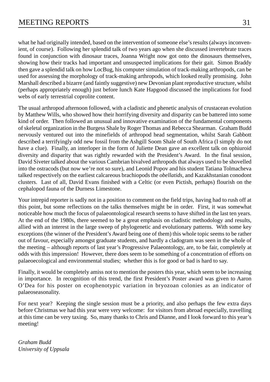what he had originally intended, based on the intervention of someone else's results (always inconvenient, of course). Following her splendid talk of two years ago when she discussed invertebrate traces found in conjunction with dinosaur traces, Joanna Wright now got onto the dinosaurs themselves, showing how their tracks had important and unsuspected implications for their gait. Simon Braddy then gave a splendid talk on how LocBug, his computer simulation of track-making arthropods, can be used for assessing the morphology of track-making arthropods, which looked really promising. John Marshall described a bizarre (and faintly suggestive) new Devonian plant reproductive structure, whilst (perhaps appropriately enough) just before lunch Kate Hapgood discussed the implications for food webs of early terrestrial coprolite content.

The usual arthropod afternoon followed, with a cladistic and phenetic analysis of crustacean evolution by Matthew Wills, who showed how their horrifying diversity and disparity can be battered into some kind of order. Then followed an unusual and innovative examination of the fundamental components of skeletal organization in the Burgess Shale by Roger Thomas and Rebecca Shearman. Graham Budd nervously ventured out into the minefields of arthropod head segmentation, whilst Sarah Gabbott described a terrifyingly odd new fossil from the Ashgill Soom Shale of South Africa (I simply do not have a clue). Finally, an interloper in the form of Juliette Dean gave an excellent talk on ophiuroid diversity and disparity that was rightly rewarded with the President's Award. In the final session, David Siveter talked about the various Cambrian bivalved arthropods that always used to be shovelled into the ostracods (but now we're not so sure), and Leonid Popov and his student Tatiana Tolmacheva talked respectively on the earliest calcareous brachiopods the *obellatids*, and Kazakhstanian conodont clusters. Last of all, David Evans finished with a Celtic (or even Pictish, perhaps) flourish on the cephalopod fauna of the Durness Limestone.

Your intrepid reporter is sadly not in a position to comment on the field trips, having had to rush off at this point, but some reflections on the talks themselves might be in order. First, it was somewhat noticeable how much the focus of palaeontological research seems to have shifted in the last ten years. At the end of the 1980s, there seemed to be a great emphasis on cladistic methodology and results, allied with an interest in the large sweep of phylogenetic and evolutionary patterns. With some key exceptions (the winner of the President's Award being one of them) this whole topic seems to be rather out of favour, especially amongst graduate students, and hardly a cladogram was seen in the whole of the meeting – although reports of last year's Progressive Palaeontology, are, to be fair, completely at odds with this impression! However, there does seem to be something of a concentration of efforts on palaeoecological and environmental studies; whether this is for good or bad is hard to say.

Finally, it would be completely amiss not to mention the posters this year, which seem to be increasing in importance. In recognition of this trend, the first President's Poster award was given to Aaron O'Dea for his poster on ecophenotypic variation in bryozoan colonies as an indicator of palaeoseasonality.

For next year? Keeping the single session must be a priority, and also perhaps the few extra days before Christmas we had this year were very welcome: for visitors from abroad especially, travelling at this time can be very taxing. So, many thanks to Chris and Dianne, and I look forward to this year's meeting!

*Graham Budd University of Uppsala*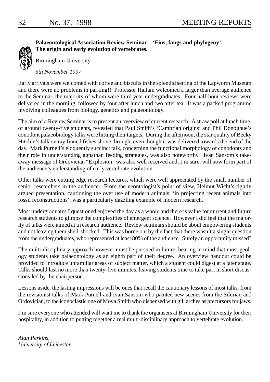

**Palaeontological Association Review Seminar – 'Fins, fangs and phylogeny': The origin and early evolution of vertebrates.**

Birmingham University

*5th November 1997*

Early arrivals were welcomed with coffee and biscuits in the splendid setting of the Lapworth Museum and there were no problems in parking!! Professor Hallam welcomed a larger than average audience to the Seminar, the majority of whom were third year undergraduates. Four half-hour reviews were delivered in the morning, followed by four after lunch and two after tea. It was a packed programme involving colleagues from biology, genetics and palaeontology.

The aim of a Review Seminar is to present an overview of current research. A straw poll at lunch time, of around twenty-five students, revealed that Paul Smith's 'Cambrian origins' and Phil Donoghue's conodont palaeobiology talks were hitting their targets. During the afternoon, the star quality of Becky Hitchin's talk on ray finned fishes shone through, even though it was delivered towards the end of the day. Mark Purnell's eloquently succinct talk, concerning the functional morphology of conodonts and their role in understanding agnathan feeding strategies, was also noteworthy. Ivan Sansom's takeaway message of Ordovician "Explosion" was also well received and, I'm sure, will now form part of the audience's understanding of early vertebrate evolution.

Other talks were cutting edge research lectures, which were well appreciated by the small number of senior researchers in the audience. From the neontologist's point of view, Helmut Wicht's tightly argued presentation, cautioning the over use of modern animals, 'in projecting recent animals into fossil reconstructions', was a particularly dazzling example of modern research.

Most undergraduates I questioned enjoyed the day as a whole and there is value for current and future research students to glimpse the complexities of emergent science. However I did feel that the majority of talks were aimed at a research audience. Review seminars should be about empowering students and not leaving them shell-shocked. This was borne out by the fact that there wasn't a single question from the undergraduates, who represented at least 80% of the audience. Surely an opportunity missed?

The multi-disciplinary approach however must be pursued in future, bearing in mind that most geology students take palaeontology as an eighth part of their degree. An overview handout could be provided to introduce unfamiliar areas of subject matter, which a student could digest at a later stage. Talks should last no more than twenty-five minutes, leaving students time to take part in short discussions led by the chairperson.

Lessons aside, the lasting impressions will be ones that recall the cautionary lessons of most talks, from the revisionist talks of Mark Purnell and Ivan Sansom who painted new scenes from the Silurian and Ordovician, to the iconoclastic one of Moya Smith who dispensed with gill arches as precursors for jaws.

I'm sure everyone who attended will want me to thank the organisers at Birmingham University for their hospitality, in addition to putting together a real multi-disciplinary approach to vertebrate evolution.

*Alan Perkins, University of Leicester*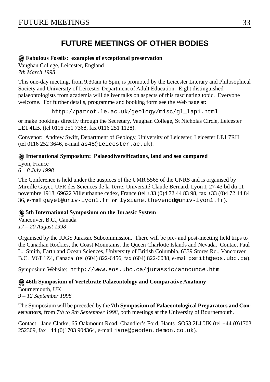# FUTURE MEETIN[GS](mailto:as48@Leicester.ac.uk) 33

# **FUTURE MEETINGS OF OTHER BODIES**

# **Fabulous Fossils: examples of exceptional preservation**

Vaughan College, Leicester, England *7th March [1998](mailto:gayet@univ-lyon1.fr)*

This one-day meeting, from 9.30am to 5pm, is promoted by the Leicester Literary and Philosophical Society and University of Leicester Department of Adult Education. Eight distinguished palaeontologists from academia will deliver talks on aspects of this fascinating topic. Everyone welcome. For further details, programme and booking form see the Web page at:

http://parrot.le.ac.uk/geology/misc/gl\_lap1.html

or make bookings directly through the Secretary, Vaughan College, St Nicholas Circle, Leicester LE1 4LB. (tel 0116 251 7368, fax 0116 251 1128).

Convenor: Andrew Swift, Department of Geology, University of Leicest[er, Leicester LE1 7RH](mailto:psmith@eos.ubc.ca) (tel 0116 252 3646, e-mail [as48@Leicester.ac.uk](http://www.eos.ubc.ca/jurassic/announce.htm)).

#### **International Symposium: Palaeodiversifications, land and sea compared**

Lyon, France *6 – 8 July 1998*

The Conference is held under the auspices of the UMR 5565 of the CNRS and is organised by Mireille Gayet, UFR des Sciences de la Terre, Université Claude Bernard, Lyon I, 27-43 bd du 11 novembre 1918, 69622 Villeurbanne cedex, France (tel +33 (0)4 72 44 83 98, fax +33 (0)4 72 44 84 36, e-mail gayet@univ-lyon1.fr or [lysiane.thevenod@univ-](mailto:jane@geoden.demon.co.uk)lyon1.fr).

#### **5th International Symposium on the Jurassic System**

Vancouver, B.C., Canada *17 – 20 August 1998*

Organised by the IUGS Jurassic Subcommission. There will be pre- and post-meeting field trips to the Canadian Rockies, the Coast Mountains, the Queen Charlotte Islands and Nevada. Contact Paul L. Smith, Earth and Ocean Sciences, University of British Columbia, 6339 Stores Rd., Vancouver, B.C. V6T 1Z4, Canada (tel (604) 822-6456, fax (604) 822-6088, e-mail psmith@eos.ubc.ca).

Symposium Website: http://www.eos.ubc.ca/jurassic/announce.htm

#### **46th Symposium of Vertebrate Palaeontology and Comparative Anatomy**

Bournemouth, UK

*9 – 12 September 1998*

The Symposium will be preceded by the **7th Symposium of Palaeontological Preparators and Conservators**, from *7th to 9th September 1998*, both meetings at the University of Bournemouth.

Contact: Jane Clarke, 65 Oakmount Road, Chandler's Ford, Hants SO53 2LJ UK (tel +44 (0)1703 252309, fax +44 (0)1703 904364, e-mail jane@geoden.demon.co.uk).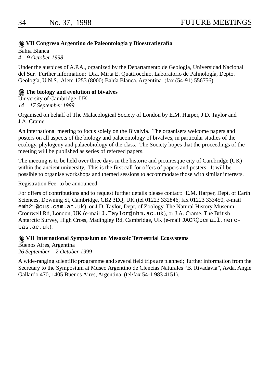# 34 No. 37, 1998 FUTURE MEETINGS

# **VII Congreso Argentino de Paleontología y Bioestratigrafía**

Bahía Blanca *4 – 9 October 1998*

Under the auspices of A.P.A., organized by the Departamento de Geologia, Universidad Nacional del Sur. Further information: Dra. Mirta E. Quattrocchio, Laboratorio de Palinología, Depto. [Geología, U.N.S., Alem 1253](mailto:emh21@cus.cam.ac.uk) (8000) Bahía Blanca, Argentina (fax (54-91) 556756).

#### **The biology and evolution of b[ivalves](mailto:J.Taylor@nhm.ac.uk)**

[University of](mailto:JACR@pcmail.nerc-bas.ac.uk) Cambridge, UK *14 – 17 September 1999*

Organised on behalf of The Malacological Society of London by E.M. Harper, J.D. Taylor and J.A. Crame.

An international meeting to focus solely on the Bivalvia. The organisers welcome papers and posters on all aspects of the biology and palaeontology of bivalves, in particular studies of the ecology, phylogeny and palaeobiology of the class. The Society hopes that the proceedings of the meeting will be published as series of refereed papers.

The meeting is to be held over three days in the historic and picturesque city of Cambridge (UK) within the ancient university. This is the first call for offers of papers and posters. It will be possible to organise workshops and themed sessions to accommodate those with similar interests.

## Registration Fee: to be announced.

For offers of contributions and to request further details please contact: E.M. Harper, Dept. of Earth Sciences, Downing St, Cambridge, CB2 3EQ, UK (tel 01223 332846, fax 01223 333450, e-mail emh21@cus.cam.ac.uk), or J.D. Taylor, Dept. of Zoology, The Natural History Museum, Cromwell Rd, London, UK (e-mail J.Taylor@nhm.ac.uk), or J.A. Crame, The British Antarctic Survey, High Cross, Madingley Rd, Cambridge, UK (e-mail JACR@pcmail.nercbas.ac.uk).

### **VII International Symposium on Mesozoic Terrestrial Ecosystems**

Buenos Aires, Argentina *26 September – 2 October 1999*

A wide-ranging scientific programme and several field trips are planned; further information from the Secretary to the Symposium at Museo Argentino de Clencias Naturales "B. Rivadavia", Avda. Angle Gallardo 470, 1405 Buenos Aires, Argentina (tel/fax 54-1 983 4151).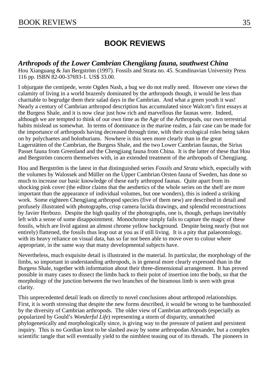# **BOOK REVIEWS**

*Arthropods of the Lower Cambrian Chengjiang fauna, southwest China* Hou Xianguang & Jan Bergström (1997). Fossils and Strata no. 45. Scandinavian University Press 116 pp. ISBN 82-00-37693-1. US\$ 33.00.

I objurgate the centipede, wrote Ogden Nash, a bug we do not really need. However one views the calamity of living in a world brazenly dominated by the arthropods though, it would be less than charitable to begrudge them their salad days in the Cambrian. And what a green youth it was! Nearly a century of Cambrian arthropod description has accumulated since Walcott's first essays at the Burgess Shale, and it is now clear just how rich and marvellous the faunas were. Indeed, although we are tempted to think of our own time as the Age of the Arthropods, our own terrestrial habits mislead us somewhat. In terms of dominance in the marine realm, a fair case can be made for the importance of arthropods having decreased through time, with their ecological roles being taken on by polychaetes and holothurians. Nowhere is this seen more clearly than in the great Lagerstätten of the Cambrian, the Burgess Shale, and the two Lower Cambrian faunas, the Sirius Passet fauna from Greenland and the Chengjiang fauna from China. It is the latter of these that Hou and Bergström concern themselves with, in an extended treatment of the arthropods of Chengjiang.

Hou and Bergström is the latest in that distinguished series *Fossils and Strata* which, especially with the volumes by Walossek and Müller on the Upper Cambrian Orsten fauna of Sweden, has done so much to increase our basic knowledge of these early arthropod faunas. Quite apart from its shocking pink cover (the editor claims that the aesthetics of the whole series on the shelf are more important than the appearance of individual volumes, but one wonders), this is indeed a striking work. Some eighteen Chengjiang arthropod species (five of them new) are described in detail and profusely illustrated with photographs, crisp camera lucida drawings, and splendid reconstructions by Javier Herbozo. Despite the high quality of the photographs, one is, though, perhaps inevitably left with a sense of some disappointment. Monochrome simply fails to capture the magic of these fossils, which are livid against an almost chrome yellow background. Despite being nearly (but not entirely) flattened, the fossils thus leap out at you as if still living. It is a pity that palaeontology, with its heavy reliance on visual data, has so far not been able to move over to colour where appropriate, in the same way that many developmental subjects have.

Nevertheless, much exquisite detail is illustrated in the material. In particular, the morphology of the limbs, so important in understanding arthropods, is in general more clearly expressed than in the Burgess Shale, together with information about their three-dimensional arrangement. It has proved possible in many cases to dissect the limbs back to their point of insertion into the body, so that the morphology of the junction between the two branches of the biramous limb is seen with great clarity.

This unprecedented detail leads on directly to novel conclusions about arthropod relationships. First, it is worth stressing that despite the new forms described, it would be wrong to be bamboozled by the diversity of Cambrian arthropods. The older view of Cambrian arthropods (especially as popularized by Gould's *Wonderful Life*) representing a storm of disparity, unmatched phylogenetically and morphologically since, is giving way to the pressure of patient and persistent inquiry. This is no Gordian knot to be slashed away by some arthropodan Alexander, but a complex scientific tangle that will eventually yield to the nimblest teasing out of its threads. The pioneers in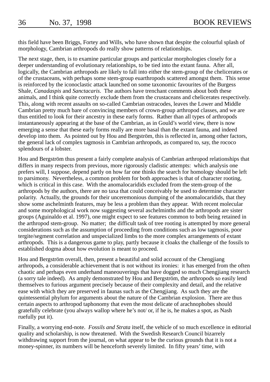this field have been Briggs, Fortey and Wills, who have shown that despite the colourful splash of morphology, Cambrian arthropods do really show patterns of relationships.

The next stage, then, is to examine particular groups and particular morphologies closely for a deeper understanding of evolutionary relationships, to be tied into the extant fauna. After all, logically, the Cambrian arthropods are likely to fall into either the stem-group of the chelicerates or of the crustaceans, with perhaps some stem-group euarthropods scattered amongst them. This sense is reinforced by the iconoclastic attack launched on some taxonomic favourites of the Burgess Shale, *Canadaspis* and *Sanctacaris*. The authors have trenchant comments about both these animals, and I think quite correctly exclude them from the crustaceans and chelicerates respectively. This, along with recent assaults on so-called Cambrian ostracodes, leaves the Lower and Middle Cambrian pretty much bare of convincing members of crown-group arthropod classes, and we are thus entitled to look for their ancestry in these early forms. Rather than all types of arthropods instantaneously appearing at the base of the Cambrian, as in Gould's world view, there is now emerging a sense that these early forms really are more basal than the extant fauna, and indeed develop into them. As pointed out by Hou and Bergström, this is reflected in, among other factors, the general lack of complex tagmosis in Cambrian arthropods, as compared to, say, the rococo splendours of a lobster.

Hou and Bergström thus present a fairly complete analysis of Cambrian arthropod relationships that differs in many respects from previous, more rigorously cladistic attempts: which analysis one prefers will, I suppose, depend partly on how far one thinks the search for homology should be left to parsimony. Nevertheless, a common problem for both approaches is that of character rooting, which is critical in this case. With the anomalocaridids excluded from the stem-group of the arthropods by the authors, there are no taxa that could conceivably be used to determine character polarity. Actually, the grounds for their unceremonious dumping of the anomalocaridids, that they show some aschelminth features, may be less a problem than they appear. With recent molecular and some morphological work now suggesting several aschelminths and the arthropods are sister groups (Aguinaldo et al. 1997), one might expect to see features common to both being retained in the arthropod stem-group. No matter; the difficult task of tree rooting is attempted by more general considerations such as the assumption of proceeding from conditions such as low tagmosis, poor tergite/segment correlation and unspecialized limbs to the more complex arrangements of extant arthropods. This is a dangerous game to play, partly because it cloaks the challenge of the fossils to established dogma about how evolution is meant to proceed.

Hou and Bergström overall, then, present a beautiful and solid account of the Chengjiang arthropods, a considerable achievement that is not without its ironies: it has emerged from the often chaotic and perhaps even underhand maneouverings that have dogged so much Chengjiang research (a sorry tale indeed). As amply demonstrated by Hou and Bergström, the arthropods so easily lend themselves to furious argument precisely because of their complexity and detail, and the relative ease with which they are preserved in faunas such as the Chengjiang. As such they are the quintessential phylum for arguments about the nature of the Cambrian explosion. There are thus certain aspects to arthropod taphonomy that even the most delicate of arachnophobes should gratefully celebrate (you always wallop where he's not/ or, if he is, he makes a spot, as Nash ruefully put it).

Finally, a worrying end-note. *Fossils and Strata* itself, the vehicle of so much excellence in editorial quality and scholarship, is now threatened. With the Swedish Research Council bizarrely withdrawing support from the journal, on what appear to be the curious grounds that it is not a money-spinner, its numbers will be henceforth severely limited. In fifty years' time, with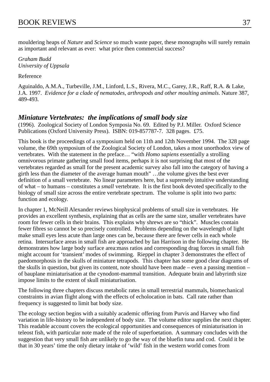mouldering heaps of *Nature* and *Science* so much waste paper, these monographs will surely remain as important and relevant as ever: what price then commercial success?

*Graham Budd University of Uppsala*

Reference

Aguinaldo, A.M.A., Turbeville, J.M., Linford, L.S., Rivera, M.C., Garey, J.R., Raff, R.A. & Lake, J.A. 1997. *Evidence for a clade of nematodes, arthropods and other moulting animals*. Nature 387, 489-493.

# *Miniature Vertebrates: the implications of small body size*

(1996). Zoological Society of London Symposia No. 69. Edited by P.J. Miller. Oxford Science Publications (Oxford University Press). ISBN: 019-857787-7. 328 pages. £75.

This book is the proceedings of a symposium held on 11th and 12th November 1994. The 328 page volume, the 69th symposium of the Zoological Society of London, takes a most unorthodox view of vertebrates. With the statement in the preface… "with *Homo sapiens* essentially a strolling omnivorous primate gathering small food items, perhaps it is not surprising that most of the vertebrates regarded as small for the present academic survey also fall into the category of having a girth less than the diameter of the average human mouth" …the volume gives the best ever definition of a small vertebrate. No linear parameters here, but a supremely intuitive understanding of what – to humans – constitutes a *small* vertebrate. It is the first book devoted specifically to the biology of small size across the entire vertebrate spectrum. The volume is split into two parts: function and ecology.

In chapter 1, McNeill Alexander reviews biophysical problems of small size in vertebrates. He provides an excellent synthesis, explaining that as cells are the same size, smaller vertebrates have room for fewer cells in their brains. This explains why shrews are so "thick". Muscles contain fewer fibres so cannot be so precisely controlled. Problems depending on the wavelength of light make small eyes less acute than large ones can be, because there are fewer cells in each whole retina. Intersurface areas in small fish are approached by Ian Harrison in the following chapter. He demonstrates how large body surface area:mass ratios and corresponding drag forces in small fish might account for 'transient' modes of swimming. Rieppel in chapter 3 demonstrates the effect of paedomorphosis in the skulls of miniature tetrapods. This chapter has some good clear diagrams of the skulls in question, but given its content, note should have been made – even a passing mention – of bauplane miniaturisation at the cynodont-mammal transition. Adequate brain and labyrinth size impose limits to the extent of skull miniaturisation.

The following three chapters discuss metabolic rates in small terrestrial mammals, biomechanical constraints in avian flight along with the effects of echolocation in bats. Call rate rather than frequency is suggested to limit bat body size.

The ecology section begins with a suitably academic offering from Purvis and Harvey who find variation in life-history to be independent of body size. The volume editor supplies the next chapter. This readable account covers the ecological opportunities and consequences of miniaturisation in teleost fish, with particular note made of the role of superfoetation. A summary concludes with the suggestion that very small fish are unlikely to go the way of the bluefin tuna and cod. Could it be that in 30 years' time the only dietary intake of 'wild' fish in the western world comes from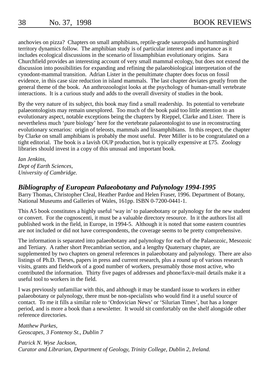anchovies on pizza? Chapters on small amphibians, reptile-grade sauropsids and hummingbird territory dynamics follow. The amphibian study is of particular interest and importance as it includes ecological discussions in the scenario of lissamphibian evolutionary origins. Sara Churchfield provides an interesting account of very small mammal ecology, but does not extend the discussion into possibilities for expanding and refining the palaeobiological interpretation of the cynodont-mammal transition. Adrian Lister in the penultimate chapter does focus on fossil evidence, in this case size reduction in island mammals. The last chapter deviates greatly from the general theme of the book. An anthrozoologist looks at the psychology of human-small vertebrate interactions. It is a curious study and adds to the overall diversity of studies in the book.

By the very nature of its subject, this book may find a small readership. Its potential to vertebrate palaeontologists may remain unexplored. Too much of the book paid too little attention to an evolutionary aspect, notable exceptions being the chapters by Rieppel, Clarke and Lister. There is nevertheless much 'pure biology' here for the vertebrate palaeontologist to use in reconstructing evolutionary scenarios: origin of teleosts, mammals and lissamphibians. In this respect, the chapter by Clarke on small amphibians is probably the most useful. Peter Miller is to be congratulated on a tight editorial. The book is a lavish OUP production, but is typically expensive at £75. Zoology libraries should invest in a copy of this unusual and important book.

*Ian Jenkins, Dept of Earth Sciences, University of Cambridge.*

# *Bibliography of European Palaeobotany and Palynology 1994-1995*

Barry Thomas, Christopher Cleal, Heather Pardoe and Helen Fraser, 1996. Department of Botany, National Museums and Galleries of Wales, 161pp. ISBN 0-7200-0441-1.

This A5 book constitutes a highly useful 'way in' to palaeobotany or palynology for the new student or convert. For the cognoscenti, it must be a valuable directory resource. In it the authors list all published work in the field, in Europe, in 1994-5. Although it is noted that some eastern countries are not included or did not have correspondents, the coverage seems to be pretty comprehensive.

The information is separated into palaeobotany and palynology for each of the Palaeozoic, Mesozoic and Tertiary. A rather short Precambrian section, and a lengthy Quaternary chapter, are supplemented by two chapters on general references in palaeobotany and palynology. There are also listings of Ph.D. Theses, papers in press and current research, plus a round up of various research visits, grants and fieldwork of a good number of workers, presumably those most active, who contributed the information. Thirty five pages of addresses and phone/fax/e-mail details make it a useful tool to workers in the field.

I was previously unfamiliar with this, and although it may be standard issue to workers in either palaeobotany or palynology, there must be non-specialists who would find it a useful source of contact. To me it fills a similar role to 'Ordovician News' or 'Silurian Times', but has a longer period, and is more a book than a newsletter. It would sit comfortably on the shelf alongside other reference directories.

*Matthew Parkes, Geoscapes, 3 Fontenoy St., Dublin 7*

*Patrick N. Wyse Jackson, Curator and Librarian, Department of Geology, Trinity College, Dublin 2, Ireland.*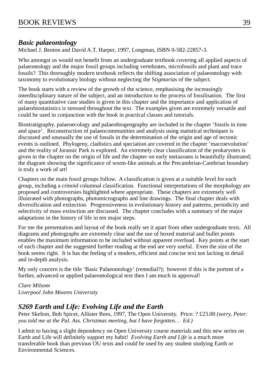# *Basic palaeontology*

Michael J. Benton and David A.T. Harper, 1997, Longman, ISBN 0-582-22857-3.

Who amongst us would not benefit from an undergraduate textbook covering all applied aspects of palaeontology and the major fossil groups including vertebrates, microfossils and plant and trace fossils? This thoroughly modern textbook reflects the shifting association of palaeontology with taxonomy to evolutionary biology without neglecting the S*tigmarias* of the subject.

The book starts with a review of the growth of the science, emphasising the increasingly interdisciplinary nature of the subject, and an introduction to the process of fossilisation. The first of many quantitative case studies is given in this chapter and the importance and application of palaeobiostatistics is stressed throughout the text. The examples given are extremely versatile and could be used in conjunction with the book in practical classes and tutorials.

Biostratigraphy, palaeoecology and palaeobiogeography are included in the chapter 'fossils in time and space'. Reconstruction of palaeocommunities and analysis using statistical techniques is discussed and unusually the use of fossils in the determination of the origin and age of tectonic events is outlined. Phylogeny, cladistics and speciation are covered in the chapter 'macroevolution' and the reality of Jurassic Park is explored. An extremely clear classification of the prokaryotes is given in the chapter on the origin of life and the chapter on early metazoans is beautifully illustrated; the diagram showing the significance of worm-like animals at the Precambrian-Cambrian boundary is truly a work of art!

Chapters on the main fossil groups follow. A classification is given at a suitable level for each group, including a crinoid columnal classification. Functional interpretations of the morphology are proposed and controversies highlighted where appropriate. These chapters are extremely well illustrated with photographs, photomicrographs and line drawings. The final chapter deals with diversification and extinction. Progressiveness in evolutionary history and patterns, periodicity and selectivity of mass extinction are discussed. The chapter concludes with a summary of the major adaptations in the history of life in ten major steps.

For me the presentation and layout of the book really set it apart from other undergraduate texts. All diagrams and photographs are extremely clear and the use of boxed material and bullet points enables the maximum information to be included without apparent overload. Key points at the start of each chapter and the suggested further reading at the end are very useful. Even the size of the book seems right. It is has the feeling of a modern, efficient and concise text not lacking in detail and in-depth analysis.

My only concern is the title 'Basic Palaeontology' (remedial?); however if this is the portent of a further, advanced or applied palaeontological text then I am much in approval!

*Clare Milsom Liverpool John Moores University*

# *S269 Earth and Life: Evolving Life and the Earth*

Peter Skelton, Bob Spicer, Allister Rees, 1997, The Open University. Price: ? £23.00 *(sorry, Peter: you told me at the Pal. Ass. Christmas meeting, but I have forgotten… Ed.)*

I admit to having a slight dependency on Open University course materials and this new series on Earth and Life will definitely support my habit! *Evolving Earth and Life* is a much more transferable book than previous OU texts and could be used by any student studying Earth or Environmental Sciences.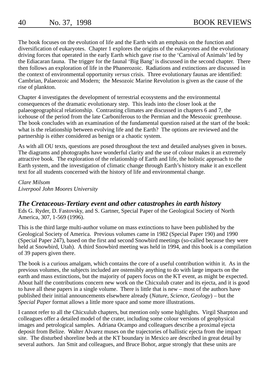The book focuses on the evolution of life and the Earth with an emphasis on the function and diversification of eukaryotes. Chapter 1 explores the origins of the eukaryotes and the evolutionary driving forces that operated in the early Earth which gave rise to the 'Carnival of Animals' led by the Ediacaran fauna. The trigger for the faunal 'Big Bang' is discussed in the second chapter. There then follows an exploration of life in the Phanerozoic. Radiations and extinctions are discussed in the context of environmental opportunity *versus* crisis. Three evolutionary faunas are identified: Cambrian, Palaeozoic and Modern; the Mesozoic Marine Revolution is given as the cause of the rise of plankton.

Chapter 4 investigates the development of terrestrial ecosystems and the environmental consequences of the dramatic evolutionary step. This leads into the closer look at the palaeogeographical relationship. Contrasting climates are discussed in chapters 6 and 7, the icehouse of the period from the late Carboniferous to the Permian and the Mesozoic greenhouse. The book concludes with an examination of the fundamental question raised at the start of the book: what is the relationship between evolving life and the Earth? The options are reviewed and the partnership is either considered as benign or a chaotic system.

As with all OU texts, questions are posed throughout the text and detailed analyses given in boxes. The diagrams and photographs have wonderful clarity and the use of colour makes it an extremely attractive book. The exploration of the relationship of Earth and life, the holistic approach to the Earth system, and the investigation of climatic change through Earth's history make it an excellent text for all students concerned with the history of life and environmental change.

*Clare Milsom Liverpool John Moores University*

# *The Cretaceous-Tertiary event and other catastrophes in earth history*

Eds G. Ryder, D. Fastovsky, and S. Gartner, Special Paper of the Geological Society of North America, 307, 1-569 (1996).

This is the third large multi-author volume on mass extinctions to have been published by the Geological Society of America. Previous volumes came in 1982 (Special Paper 190) and 1990 (Special Paper 247), based on the first and second Snowbird meetings (so-called because they were held at Snowbird, Utah). A third Snowbird meeting was held in 1994, and this book is a compilation of 39 papers given there.

The book is a curious amalgam, which contains the core of a useful contribution within it. As in the previous volumes, the subjects included are ostensibly anything to do with large impacts on the earth and mass extinctions, but the majority of papers focus on the KT event, as might be expected. About half the contributions concern new work on the Chicxulub crater and its ejecta, and it is good to have all these papers in a single volume. There is little that is new – most of the authors have published their initial announcements elsewhere already (*Nature*, *Science*, *Geology*) – but the *Special Paper* format allows a little more space and some more illustrations.

I cannot refer to all the Chicxulub chapters, but mention only some highlights. Virgil Sharpton and colleagues offer a detailed model of the crater, including some colour versions of geophysical images and petrological samples. Adriana Ocampo and colleagues describe a proximal ejecta deposit from Belize. Walter Alvarez muses on the trajectories of ballistic ejecta from the impact site. The disturbed shoreline beds at the KT boundary in Mexico are described in great detail by several authors. Jan Smit and colleagues, and Bruce Bohor, argue strongly that these units are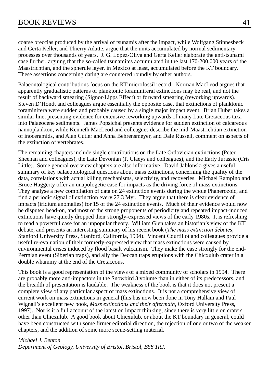coarse breccias produced by the arrival of tsunamis after the impact, while Wolfgang Stinnesbeck and Gerta Keller, and Thierry Adatte, argue that the units accumulated by normal sedimentary processes over thousands of years. J. G. Lopez-Oliva and Gerta Keller elaborate the anti-tsunami case further, arguing that the so-called tsunamites accumulated in the last 170-200,000 years of the Maastrichtian, and the spherule layer, in Mexico at least, accumulated before the KT boundary. These assertions concerning dating are countered roundly by other authors.

Palaeontological contributions focus on the KT microfossil record. Norman MacLeod argues that apparently gradualistic patterns of planktonic foraminiferal extinctions may be real, and not the result of backward smearing (Signor-Lipps Effect) or forward smearing (reworking upwards). Steven D'Hondt and colleagues argue essentially the opposite case, that extinctions of planktonic foraminifera were sudden and probably caused by a single major impact event. Brian Huber takes a similar line, presenting evidence for extensive reworking upwards of many Late Cretaceous taxa into Palaeocene sediments. James Popsichal presents evidence for sudden extinction of calcareous nannoplankton, while Kenneth MacLeod and colleagues describe the mid-Maastrichtian extinction of inoceramids, and Alan Cutler and Anna Behrensmeyer, and Dale Russell, comment on aspects of the extinction of vertebrates.

The remaining chapters include single contributions on the Late Ordovician extinctions (Peter Sheehan and colleagues), the Late Devonian (P. Claeys and colleagues), and the Early Jurassic (Cris Little). Some general overview chapters are also informative. David Jablonski gives a useful summary of key palaeobiological questions about mass extinctions, concerning the quality of the data, correlations with actual killing mechanisms, selectivity, and recoveries. Michael Rampino and Bruce Haggerty offer an unapologetic case for impacts as the driving force of mass extinctions. They analyse a new compilation of data on 24 extinction events during the whole Phanerozoic, and find a periodic signal of extinction every 27.3 Myr. They argue that there is clear evidence of impacts (iridium anomalies) for 15 of the 24 extinction events. Much of their evidence would now be disputed head-on, and most of the strong proponents of periodicity and repeated impact-induced extinctions have quietly dropped their strongly-expressed views of the early 1980s. It is refreshing to read a powerful case for an unpopular theory. William Glen takes an historian's view of the KT debate, and presents an interesting summary of his recent book (*The mass extinction debates*, Stanford University Press, Stanford, California, 1994). Vincent Courtillot and colleagues provide a useful re-evaluation of their formerly-expressed view that mass extinctions were caused by environmental crises induced by flood basalt vulcanism. They make the case strongly for the end-Permian event (Siberian traps), and ally the Deccan traps eruptions with the Chicxulub crater in a double whammy at the end of the Cretaceous.

This book is a good representation of the views of a mixed community of scholars in 1994. There are probably more anti-impactors in the Snowbird 3 volume than in either of its predecessors, and the breadth of presentation is laudable. The weakness of the book is that it does not present a complete view of any particular aspect of mass extinctions. It is not a comprehensive view of current work on mass extinctions in general (this has now been done in Tony Hallam and Paul Wignall's excellent new book, *Mass extinctions and their aftermath*, Oxford University Press, 1997). Nor is it a full account of the latest on impact thinking, since there is very little on craters other than Chicxulub. A good book about Chicxulub, or about the KT boundary in general, could have been constructed with some firmer editorial direction, the rejection of one or two of the weaker chapters, and the addition of some more scene-setting material.

#### *Michael J. Benton*

*Department of Geology, University of Bristol, Bristol, BS8 1RJ.*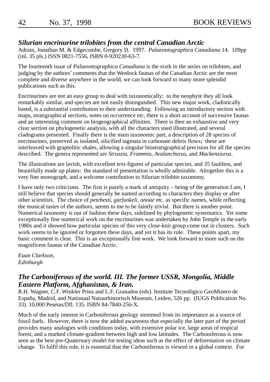# *Silurian encrinurine trilobites from the central Canadian Arctic*

Adrain, Jonathan M. & Edgecombe, Gregory D. 1997. *Palaeontographica Canadiana* 14. 109pp (inl. 35 pls.) ISSN 0821-7556, ISBN 0-920230-63-7.

The fourteenth issue of *Palaeontographica Canadiana* is the sixth in the series on trilobites, and judging by the authors' comments that the Wenlock faunas of the Canadian Arctic are the most complete and diverse anywhere in the world, we can look forward to many more splendid publications such as this.

Encrinurines are not an easy group to deal with taxonomically; to the neophyte they all look remarkably similar, and species are not easily distinguished. This new major work, cladistically based, is a substantial contribution to their understanding. Following an introductory section with maps, stratigraphical sections, notes on occurrence etc, there is a short account of successive faunas and an interesting comment on biogeographical affinities. There is then an exhaustive and very clear section on phylogenetic analysis, with all the characters used illustrated, and several cladograms presented. Finally there is the main taxonomic part, a description of 28 species of encrinurines, preserved as isolated, silicified tagmata in carbonate debris flows; these are interleaved with graptolitic shales, allowing a singular biostratigraphical precision for all the species described. The genera represented are *Struszia*, *Frammia*, *Avalanchurus*, and *Mackenziurus*.

The illustrations are lavish, with excellent text-figures of particular species, and 35 faultless, and beautifully made up plates; the standard of presentation is wholly admirable. Altogether this is a very fine monograph, and a welcome contribution to Silurian trilobite taxonomy.

I have only two criticisms. The first is purely a mark of antiquity – being of the generation I am, I still believe that species should generally be named according to characters they display or after other scientists. The choice of *petebesti*, *garfunkeli*, *onoae* etc. as specific names, while reflecting the musical tastes of the authors, seems to me to be faintly trivial. But there is another point. Numerical taxonomy is out of fashion these days, sidelined by phylogenetic systematics. Yet some exceptionally fine numerical work on the encrinurines was undertaken by John Temple in the early 1980s and it showed how particular species of this very close-knit group come out in clusters. Such work seems to be ignored or forgotten these days, and yet it has its role. These points apart, my basic comment is clear. This is an exceptionally fine work. We look forward to more such on the magnificent faunas of the Canadian Arctic.

*Euan Clarkson, Edinburgh*

# *The Carboniferous of the world. III. The former USSR, Mongolia, Middle Eastern Platform, Afghanistan, & Iran.*

R.H. Wagner, C.F. Winkler Prins and L.F. Granados (eds). Institute Tecnològico GeoMinero de España, Madrid, and Nationaal Natuurhistorisch Museum, Leiden, 526 pp. (IUGS Publication No. 33). 10,000 Pesetas/Dfl. 135. ISBN 84-7840-256-X.

Much of the early interest in Carboniferous geology stemmed from its importance as a source of fossil fuels. However, there is now the added awareness that especially the later part of the period provides many analogies with conditions today, with extensive polar ice, large areas of tropical forest, and a marked climate-gradient between high and low latitudes. The Carboniferous is now seen as the best pre-Quaternary model for testing ideas such as the effect of deforestation on climate change. To fulfil this role, it is essential that the Carboniferous is viewed in a global context. For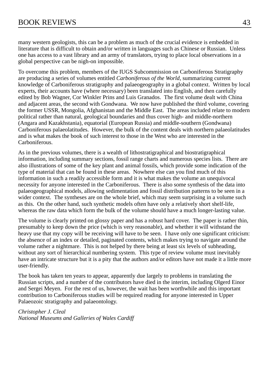many western geologists, this can be a problem as much of the crucial evidence is embedded in literature that is difficult to obtain and/or written in languages such as Chinese or Russian. Unless one has access to a vast library and an army of translators, trying to place local observations in a global perspective can be nigh-on impossible.

To overcome this problem, members of the IUGS Subcommission on Carboniferous Stratigraphy are producing a series of volumes entitled *Carboniferous of the World*, summarizing current knowledge of Carboniferous stratigraphy and palaeogeography in a global context. Written by local experts, their accounts have (where necessary) been translated into English, and then carefully edited by Bob Wagner, Cor Winkler Prins and Luis Granados. The first volume dealt with China and adjacent areas, the second with Gondwana. We now have published the third volume, covering the former USSR, Mongolia, Afghanistan and the Middle East. The areas included relate to modern political rather than natural, geological boundaries and thus cover high- and middle-northern (Angara and Kazakhstania), equatorial (European Russia) and middle-southern (Gondwana) Carboniferous palaeolatitudes. However, the bulk of the content deals with northern palaeolatitudes and is what makes the book of such interest to those in the West who are interested in the Carboniferous.

As in the previous volumes, there is a wealth of lithostratigraphical and biostratigraphical information, including summary sections, fossil range charts and numerous species lists. There are also illustrations of some of the key plant and animal fossils, which provide some indication of the type of material that can be found in these areas. Nowhere else can you find much of this information in such a readily accessible form and it is what makes the volume an unequivocal necessity for anyone interested in the Carboniferous. There is also some synthesis of the data into palaeogeographical models, allowing sedimentation and fossil distribution patterns to be seen in a wider context. The syntheses are on the whole brief, which may seem surprising in a volume such as this. On the other hand, such synthetic models often have only a relatively short shelf-life, whereas the raw data which form the bulk of the volume should have a much longer-lasting value.

The volume is clearly printed on glossy paper and has a robust hard cover. The paper is rather thin, presumably to keep down the price (which is very reasonable), and whether it will withstand the heavy use that my copy will be receiving will have to be seen. I have only one significant criticism: the absence of an index or detailed, paginated contents, which makes trying to navigate around the volume rather a nightmare. This is not helped by there being at least six levels of subheading, without any sort of hierarchical numbering system. This type of review volume must inevitably have an intricate structure but it is a pity that the authors and/or editors have not made it a little more user-friendly.

The book has taken ten years to appear, apparently due largely to problems in translating the Russian scripts, and a number of the contributors have died in the interim, including Olgerd Einor and Sergei Meyen. For the rest of us, however, the wait has been worthwhile and this important contribution to Carboniferous studies will be required reading for anyone interested in Upper Palaeozoic stratigraphy and palaeontology.

*Christopher J. Cleal National Museums and Galleries of Wales Cardiff*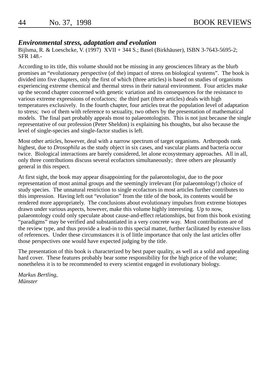# *Environmental stress, adaptation and evolution*

Bijlsma, R. & Loeschcke, V. (1997) XVII + 344 S.; Basel (Birkhäuser), ISBN 3-7643-5695-2; SFR 148.-

According to its title, this volume should not be missing in any geosciences library as the blurb promises an "evolutionary perspective (of the) impact of stress on biological systems". The book is divided into five chapters, only the first of which (three articles) is based on studies of organisms experiencing extreme chemical and thermal stress in their natural environment. Four articles make up the second chapter concerned with genetic variation and its consequences for the resistance to various extreme expressions of ecofactors; the third part (three articles) deals with high temperatures exclusively. In the fourth chapter, four articles treat the population level of adaptation to stress; two of them with reference to sexuality, two others by the presentation of mathematical models. The final part probably appeals most to palaeontologists. This is not just because the single representative of our profession (Peter Sheldon) is explaining his thoughts, but also because the level of single-species and single-factor studies is left.

Most other articles, however, deal with a narrow spectrum of target organisms. Arthropods rank highest, due to *Drosophila* as the study object in six cases, and vascular plants and bacteria occur twice. Biological interactions are barely considered, let alone ecosystemary approaches. All in all, only three contributions discuss several ecofactors simultaneously; three others are pleasantly general in this respect.

At first sight, the book may appear disappointing for the palaeontologist, due to the poor representation of most animal groups and the seemingly irrelevant (for palaeontology!) choice of study species. The unnatural restriction to single ecofactors in most articles further contributes to this impression. Having left out "evolution" from the title of the book, its contents would be rendered more appropriately. The conclusions about evolutionary impulses from extreme biotopes drawn under various aspects, however, make this volume highly interesting. Up to now, palaeontology could only speculate about cause-and-effect relationships, but from this book existing "paradigms" may be verified and substantiated in a very concrete way. Most contributions are of the review type, and thus provide a lead-in to this special matter, further facilitated by extensive lists of references. Under these circumstances it is of little importance that only the last articles offer those perspectives one would have expected judging by the title.

The presentation of this book is characterized by best paper quality, as well as a solid and appealing hard cover. These features probably bear some responsibility for the high price of the volume; nonetheless it is to be recommended to every scientist engaged in evolutionary biology.

*Markus Bertling, Münster*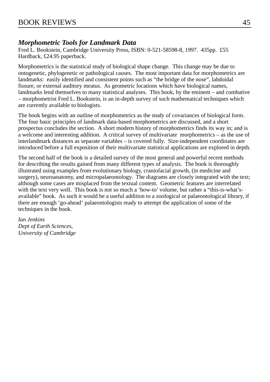# *Morphometric Tools for Landmark Data*

Fred L. Bookstein, Cambridge University Press, ISBN: 0-521-58598-8, 1997. 435pp. £55 Hardback, £24.95 paperback.

Morphometrics is the statistical study of biological shape change. This change may be due to ontogenetic, phylogenetic or pathological causes. The most important data for morphometrics are landmarks: easily identified and consistent points such as "the bridge of the nose", labdoidal fissure, or external auditory meatus. As geometric locations which have biological names, landmarks lend themselves to many statistical analyses. This book, by the eminent – and combative – morphometrist Fred L. Bookstein, is an in-depth survey of such mathematical techniques which are currently available to biologists.

The book begins with an outline of morphometrics as the study of covariances of biological form. The four basic principles of landmark data-based morphometrics are discussed, and a short prospectus concludes the section. A short modern history of morphometrics finds its way in; and is a welcome and interesting addition. A critical survey of multivariate morphometrics – as the use of interlandmark distances as separate variables – is covered fully. Size-independent coordinates are introduced before a full exposition of their multivariate statistical applications are explored in depth.

The second half of the book is a detailed survey of the most general and powerful recent methods for describing the results gained from many different types of analysis. The book is thoroughly illustrated using examples from evolutionary biology, craniofacial growth, (in medicine and surgery), neuroanatomy, and micropalaeontology. The diagrams are closely integrated with the text; although some cases are misplaced from the textual content. Geometric features are interrelated with the text very well. This book is not so much a 'how-to' volume, but rather a "this-is-what'savailable" book. As such it would be a useful addition to a zoological or palaeontological library, if there are enough 'go-ahead' palaeontologists ready to attempt the application of some of the techniques in the book.

*Ian Jenkins Dept of Earth Sciences, University of Cambridge*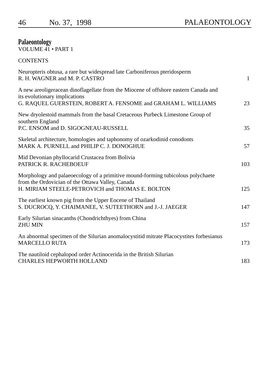# **Palaeontology**

VOLUME 41 • PART 1

| CONTENTS |
|----------|
|----------|

| $\mathbf{1}$ |
|--------------|
| 23           |
| 35           |
| 57           |
| 103          |
| 125          |
| 147          |
| 157          |
| 173          |
| 183          |
|              |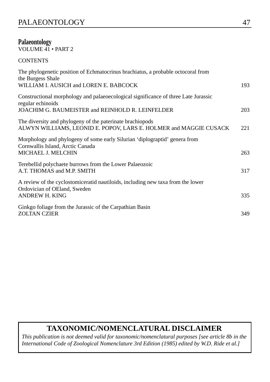# **Palaeontology**

VOLUME 41 • PART 2

**CONTENTS** 

| The phylogenetic position of Echmatocrinus brachiatus, a probable octocoral from<br>the Burgess Shale                                |     |
|--------------------------------------------------------------------------------------------------------------------------------------|-----|
| WILLIAM I. AUSICH and LOREN E. BABCOCK                                                                                               | 193 |
| Constructional morphology and palaeoecological significance of three Late Jurassic<br>regular echinoids                              |     |
| JOACHIM G. BAUMEISTER and REINHOLD R. LEINFELDER                                                                                     | 203 |
| The diversity and phylogeny of the paterinate brachiopods<br>ALWYN WILLIAMS, LEONID E. POPOV, LARS E. HOLMER and MAGGIE CUSACK       | 221 |
| Morphology and phylogeny of some early Silurian 'diplograptid' genera from<br>Cornwallis Island, Arctic Canada<br>MICHAEL J. MELCHIN | 263 |
| Terebellid polychaete burrows from the Lower Palaeozoic<br>A.T. THOMAS and M.P. SMITH                                                | 317 |
| A review of the cyclostomic eration autiloids, including new taxa from the lower<br>Ordovician of OEland, Sweden<br>ANDREW H. KING   | 335 |
| Ginkgo foliage from the Jurassic of the Carpathian Basin<br><b>ZOLTAN CZIER</b>                                                      | 349 |

# **TAXONOMIC/NOMENCLATURAL DISCLAIMER**

*This publication is not deemed valid for taxonomic/nomenclatural purposes [see article 8b in the International Code of Zoological Nomenclature 3rd Edition (1985) edited by W.D. Ride et al.]*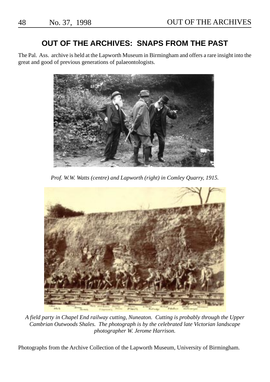# **OUT OF THE ARCHIVES: SNAPS FROM THE PAST**

The Pal. Ass. archive is held at the Lapworth Museum in Birmingham and offers a rare insight into the great and good of previous generations of palaeontologists.



*Prof. W.W. Watts (centre) and Lapworth (right) in Comley Quarry, 1915.*



*A field party in Chapel End railway cutting, Nuneaton. Cutting is probably through the Upper Cambrian Outwoods Shales. The photograph is by the celebrated late Victorian landscape photographer W. Jerome Harrison.*

Photographs from the Archive Collection of the Lapworth Museum, University of Birmingham.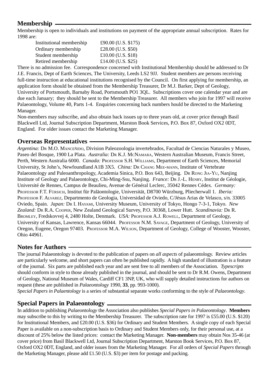# **Membership**

Membership is open to individuals and institutions on payment of the appropriate annual subscription. Rates for 1998 are:

| Institutional membership | £90.00 (U.S. \$175) |
|--------------------------|---------------------|
| Ordinary membership      | £28.00 (U.S. \$50)  |
| Student membership       | £10.00 (U.S. \$18)  |
| Retired membership       | £14.00 (U.S. \$25)  |

There is no admission fee. Correspondence concerned with Institutional Membership should be addressed to Dr J.E. Francis, Dept of Earth Sciences, The University, Leeds LS2 9JJ. Student members are persons receiving full-time instruction at educational institutions recognised by the Council. On first applying for membership, an application form should be obtained from the Membership Treasurer, Dr M.J. Barker, Dept of Geology, University of Portsmouth, Barnaby Road, Portsmouth PO1 3QL. Subscriptions cover one calendar year and are due each January; they should be sent to the Membership Treasurer. All members who join for 1997 will receive Palaeontology, Volume 40, Parts 1-4. Enquiries concerning back numbers hould be directed to the Marketing Manager.

Non-members may subscribe, and also obtain back issues up to three years old, at cover price through Basil Blackwell Ltd, Journal Subscription Department, Marston Book Services, P.O. Box 87, Oxford OX2 0DT, England. For older issues contact the Marketing Manager.

# **Overseas Representatives**

*Argentina:* DR M.O. MANCEÑIDO, Division Paleozoologia invertebrados, Facultad de Ciencias Naturales y Museo, Paseo del Bosque, 1900 La Plata. *Australia:* DR K.J. MCNAMARA, Western Australian Museum, Francis Street, Perth, Western Australia 6000. *Canada:* PROFESSOR S.H. WILLIAMS, Department of Earth Sciences, Memorial University, St John's, Newfoundland A1B 3X5. *China:* DR CHANG MEE-MANN, Institute of Vertebrate Palaeontology and Paleoanthropology, Academia Sinica, P.O. Box 643, Beijing. DR RONG JIA-YU, Nanjing Institute of Geology and Palaeontology, Chi-Ming-Ssu, Nanjing. *France:* DR J.-L. HENRY, Institut de Géologie, Université de Rennes, Campus de Beaulieu, Avenue de Général Leclerc, 35042 Rennes Cédex. *Germany:* PROFESSOR F.T. FÜRSICH, Institut für Paläontologie, Universität, D8700 Würzburg, Pliecherwall 1. *Iberia:* PROFESSOR F. ALVAREZ, Departmento de Geologia, Universidad de Oviedo, C/Jésus Arias de Velasco, s/n. 33005 Oviedo, Spain. *Japan:* DR I. HAYAMI, University Museum, University of Tokyo, Hongo 7-3-1, Tokyo. *New Zealand:* DR R.A. COOPER, New Zealand Geological Survey, P.O. 30368, Lower Hutt. *Scandinavia:* DR R. BROMLEY, Fredskovvej 4, 2480 Holte, Denmark. *USA:* PROFESSOR A.J. ROWELL, Department of Geology, University of Kansas, Lawrence, Kansas 66044. PROFESSOR N.M. SAVAGE, Department of Geology, University of Oregon, Eugene, Oregon 97403. PROFESSOR M.A. WILSON, Department of Geology, College of Wooster, Wooster, Ohio 44961.

# **Notes for Authors**

The journal Palaeontology is devoted to the publication of papers on *all aspects* of palaeontology. Review articles are particularly welcome, and short papers can often be published rapidly. A high standard of illustration is a feature of the journal. Six parts are published each year and are sent free to all members of the Association. *Typescripts* should conform in style to those already published in the journal, and should be sent to Dr R.M. Owens, Department of Geology, National Museum of Wales, Cardiff CF1 3NP, UK, who will supply detailed instructions for authors on request (these are published in *Palaeontology* 1990, **33**, pp. 993-1000).

*Special Papers in Palaentology* is a series of substantial separate works conforming to the style of *Palaeontology*.

# **Special Papers in Palaeontology**

In addition to publishing *Palaeontology* the Association also publishes *Special Papers in Palaeontology*. **Members** may subscribe to this by writing to the Membership Treasurer. The subscription rate for 1997 is £55.00 (U.S. \$120) for Institutional Members, and £20.00 (U.S. \$36) for Ordinary and Student Members. A single copy of each Special Paper is available on a non-subscription basis to Ordinary and Student Members only, for their personal use, at a discount of 25% below the listed prices: contact the Marketing Manager. **Non-members** may obtain Nos 35-46 (at cover price) from Basil Blackwell Ltd, Journal Subscription Department, Marston Book Services, P.O. Box 87, Oxford OX2 0DT, England, and older issues from the Marketing Manager. For all orders of *Special Papers* through the Marketing Manager, please add £1.50 (U.S. \$3) per item for postage and packing.